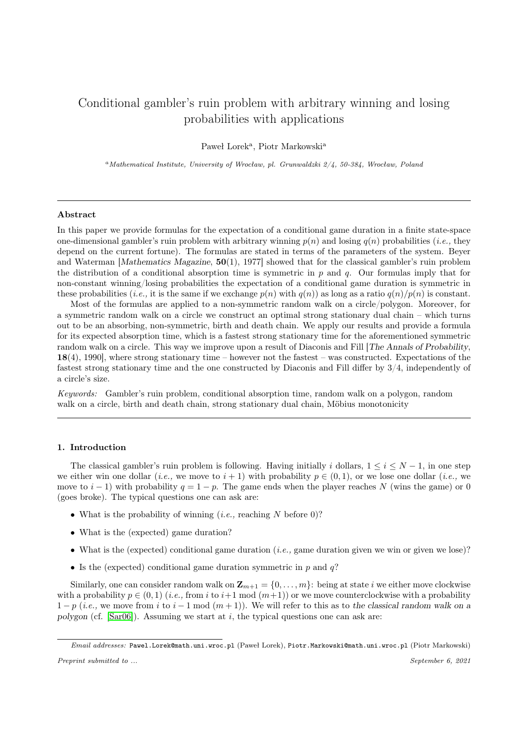# Conditional gambler's ruin problem with arbitrary winning and losing probabilities with applications

Paweł Lorek<sup>a</sup>, Piotr Markowski<sup>a</sup>

 $a<sup>a</sup>Mathematical Institute, University of Wrocław, pl. Grunwaldzki  $\frac{2}{4}$ , 50-384, Wrocław, Poland$ 

## Abstract

In this paper we provide formulas for the expectation of a conditional game duration in a finite state-space one-dimensional gambler's ruin problem with arbitrary winning  $p(n)$  and losing  $q(n)$  probabilities (*i.e.*, they depend on the current fortune). The formulas are stated in terms of the parameters of the system. Beyer and Waterman [Mathematics Magazine, 50(1), 1977] showed that for the classical gambler's ruin problem the distribution of a conditional absorption time is symmetric in  $p$  and  $q$ . Our formulas imply that for non-constant winning/losing probabilities the expectation of a conditional game duration is symmetric in these probabilities (*i.e.*, it is the same if we exchange  $p(n)$  with  $q(n)$ ) as long as a ratio  $q(n)/p(n)$  is constant.

Most of the formulas are applied to a non-symmetric random walk on a circle/polygon. Moreover, for a symmetric random walk on a circle we construct an optimal strong stationary dual chain – which turns out to be an absorbing, non-symmetric, birth and death chain. We apply our results and provide a formula for its expected absorption time, which is a fastest strong stationary time for the aforementioned symmetric random walk on a circle. This way we improve upon a result of Diaconis and Fill [The Annals of Probability, 18(4), 1990], where strong stationary time – however not the fastest – was constructed. Expectations of the fastest strong stationary time and the one constructed by Diaconis and Fill differ by 3/4, independently of a circle's size.

Keywords: Gambler's ruin problem, conditional absorption time, random walk on a polygon, random walk on a circle, birth and death chain, strong stationary dual chain, Möbius monotonicity

## 1. Introduction

The classical gambler's ruin problem is following. Having initially i dollars,  $1 \le i \le N-1$ , in one step we either win one dollar (*i.e.*, we move to  $i + 1$ ) with probability  $p \in (0, 1)$ , or we lose one dollar (*i.e.*, we move to i − 1) with probability  $q = 1 - p$ . The game ends when the player reaches N (wins the game) or 0 (goes broke). The typical questions one can ask are:

- What is the probability of winning  $(i.e.,$  reaching N before 0)?
- What is the (expected) game duration?
- What is the (expected) conditional game duration (*i.e.*, game duration given we win or given we lose)?
- Is the (expected) conditional game duration symmetric in  $p$  and  $q$ ?

Similarly, one can consider random walk on  $\mathbf{Z}_{m+1} = \{0, \ldots, m\}$ : being at state *i* we either move clockwise with a probability  $p \in (0,1)$  (*i.e.*, from *i* to *i*+1 mod  $(m+1)$ ) or we move counterclockwise with a probability  $1 - p$  (*i.e.*, we move from i to i - 1 mod  $(m + 1)$ ). We will refer to this as to the classical random walk on a polygon (cf. [\[Sar06\]](#page-30-0)). Assuming we start at i, the typical questions one can ask are:

Email addresses: Pawel.Lorek@math.uni.wroc.pl (Paweł Lorek), Piotr.Markowski@math.uni.wroc.pl (Piotr Markowski)

Preprint submitted to ... September 6, 2021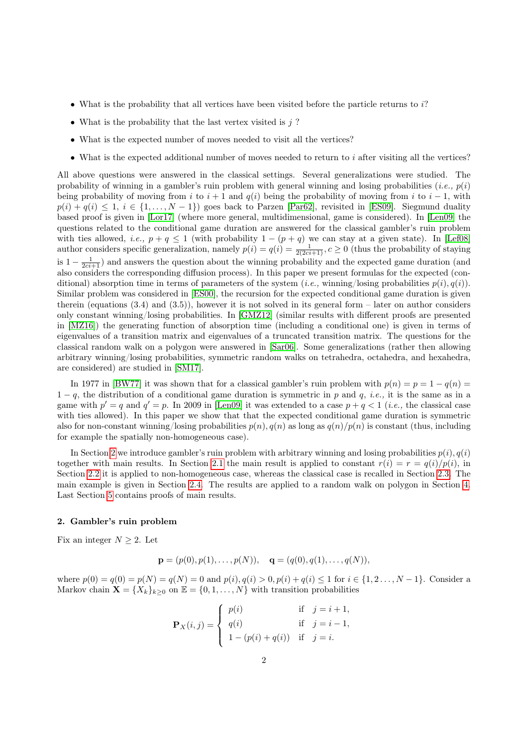- What is the probability that all vertices have been visited before the particle returns to  $i$ ?
- What is the probability that the last vertex visited is  $j$ ?
- What is the expected number of moves needed to visit all the vertices?
- What is the expected additional number of moves needed to return to  $i$  after visiting all the vertices?

All above questions were answered in the classical settings. Several generalizations were studied. The probability of winning in a gambler's ruin problem with general winning and losing probabilities (*i.e.*,  $p(i)$ ) being probability of moving from i to  $i + 1$  and  $q(i)$  being the probability of moving from i to  $i - 1$ , with  $p(i) + q(i) \leq 1, i \in \{1, \ldots, N-1\}$  goes back to Parzen [\[Par62\]](#page-30-1), revisited in [\[ES09\]](#page-30-2). Siegmund duality based proof is given in [\[Lor17\]](#page-30-3) (where more general, multidimensional, game is considered). In [\[Len09\]](#page-30-4) the questions related to the conditional game duration are answered for the classical gambler's ruin problem with ties allowed, *i.e.*,  $p + q \le 1$  (with probability  $1 - (p + q)$  we can stay at a given state). In [\[Lef08\]](#page-30-5) author considers specific generalization, namely  $p(i) = q(i) = \frac{1}{2(2ci+1)}, c \ge 0$  (thus the probability of staying is  $1 - \frac{1}{2ci+1}$ ) and answers the question about the winning probability and the expected game duration (and also considers the corresponding diffusion process). In this paper we present formulas for the expected (conditional) absorption time in terms of parameters of the system (*i.e.*, winning/losing probabilities  $p(i)$ ,  $q(i)$ ). Similar problem was considered in [\[ES00\]](#page-30-6), the recursion for the expected conditional game duration is given therein (equations (3.4) and (3.5)), however it is not solved in its general form – later on author considers only constant winning/losing probabilities. In [\[GMZ12\]](#page-30-7) (similar results with different proofs are presented in [\[MZ16\]](#page-30-8)) the generating function of absorption time (including a conditional one) is given in terms of eigenvalues of a transition matrix and eigenvalues of a truncated transition matrix. The questions for the classical random walk on a polygon were answered in [\[Sar06\]](#page-30-0). Some generalizations (rather then allowing arbitrary winning/losing probabilities, symmetric random walks on tetrahedra, octahedra, and hexahedra, are considered) are studied in [\[SM17\]](#page-30-9).

In 1977 in [\[BW77\]](#page-30-10) it was shown that for a classical gambler's ruin problem with  $p(n) = p = 1 - q(n)$  $1-q$ , the distribution of a conditional game duration is symmetric in p and q, i.e., it is the same as in a game with  $p' = q$  and  $q' = p$ . In 2009 in [\[Len09\]](#page-30-4) it was extended to a case  $p + q < 1$  (*i.e.*, the classical case with ties allowed). In this paper we show that that the expected conditional game duration is symmetric also for non-constant winning/losing probabilities  $p(n)$ ,  $q(n)$  as long as  $q(n)/p(n)$  is constant (thus, including for example the spatially non-homogeneous case).

In Section [2](#page-1-0) we introduce gambler's ruin problem with arbitrary winning and losing probabilities  $p(i)$ ,  $q(i)$ together with main results. In Section [2.1](#page-3-0) the main result is applied to constant  $r(i) = r = q(i)/p(i)$ , in Section [2.2](#page-6-0) it is applied to non-homogeneous case, whereas the classical case is recalled in Section [2.3.](#page-9-0) The main example is given in Section [2.4.](#page-9-1) The results are applied to a random walk on polygon in Section [4.](#page-13-0) Last Section [5](#page-21-0) contains proofs of main results.

## <span id="page-1-0"></span>2. Gambler's ruin problem

Fix an integer  $N \geq 2$ . Let

$$
\mathbf{p} = (p(0), p(1), \dots, p(N)), \quad \mathbf{q} = (q(0), q(1), \dots, q(N)),
$$

where  $p(0) = q(0) = p(N) = q(N) = 0$  and  $p(i), q(i) > 0, p(i) + q(i) \le 1$  for  $i \in \{1, 2, ..., N-1\}$ . Consider a Markov chain  $\mathbf{X} = \{X_k\}_{k\geq 0}$  on  $\mathbb{E} = \{0, 1, ..., N\}$  with transition probabilities

$$
\mathbf{P}_X(i,j) = \begin{cases} p(i) & \text{if } j = i+1, \\ q(i) & \text{if } j = i-1, \\ 1 - (p(i) + q(i)) & \text{if } j = i. \end{cases}
$$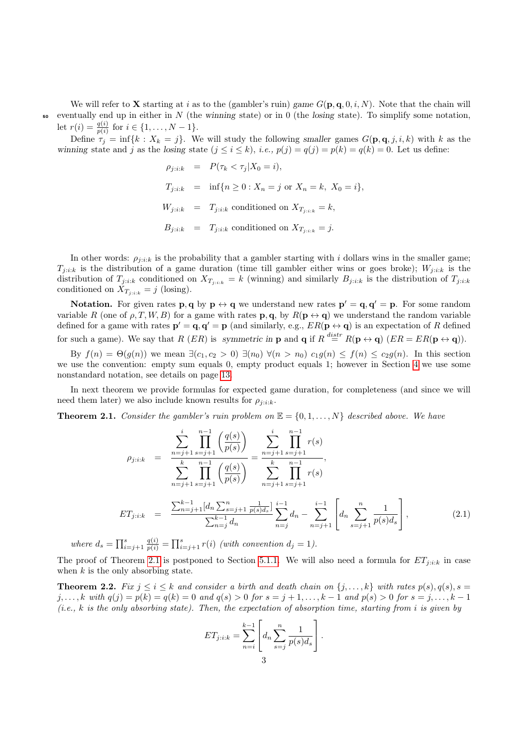We will refer to **X** starting at i as to the (gambler's ruin) game  $G(\mathbf{p}, \mathbf{q}, 0, i, N)$ . Note that the chain will  $\overline{\phantom{a}}$  eventually end up in either in N (the winning state) or in 0 (the losing state). To simplify some notation, let  $r(i) = \frac{q(i)}{p(i)}$  for  $i \in \{1, ..., N-1\}.$ 

Define  $\tau_j = \inf\{k : X_k = j\}$ . We will study the following smaller games  $G(\mathbf{p}, \mathbf{q}, j, i, k)$  with k as the winning state and j as the losing state  $(j \le i \le k)$ , *i.e.*,  $p(j) = q(j) = p(k) = q(k) = 0$ . Let us define:

$$
\rho_{j:i:k} = P(\tau_k < \tau_j | X_0 = i),
$$
\n
$$
T_{j:i:k} = \inf \{ n \ge 0 : X_n = j \text{ or } X_n = k, X_0 = i \},
$$
\n
$$
W_{j:i:k} = T_{j:i:k} \text{ conditioned on } X_{T_{j:i:k}} = k,
$$
\n
$$
B_{j:i:k} = T_{j:i:k} \text{ conditioned on } X_{T_{j:i:k}} = j.
$$

In other words:  $\rho_{i:i:k}$  is the probability that a gambler starting with i dollars wins in the smaller game;  $T_{i:i:k}$  is the distribution of a game duration (time till gambler either wins or goes broke);  $W_{i:i:k}$  is the distribution of  $T_{j:i:k}$  conditioned on  $X_{T_{j:i:k}} = k$  (winning) and similarly  $B_{j:i:k}$  is the distribution of  $T_{j:i:k}$ conditioned on  $X_{T_{j:ik}} = j$  (losing).

**Notation.** For given rates  $\mathbf{p}, \mathbf{q}$  by  $\mathbf{p} \leftrightarrow \mathbf{q}$  we understand new rates  $\mathbf{p}' = \mathbf{q}, \mathbf{q}' = \mathbf{p}$ . For some random variable R (one of  $\rho, T, W, B$ ) for a game with rates **p**, **q**, by  $R(\mathbf{p} \leftrightarrow \mathbf{q})$  we understand the random variable defined for a game with rates  $\mathbf{p}' = \mathbf{q}, \mathbf{q}' = \mathbf{p}$  (and similarly, e.g.,  $ER(\mathbf{p} \leftrightarrow \mathbf{q})$  is an expectation of R defined for such a game). We say that R  $(ER)$  is symmetric in **p** and **q** if  $R \stackrel{distr}{=} R(\mathbf{p} \leftrightarrow \mathbf{q}) (ER = ER(\mathbf{p} \leftrightarrow \mathbf{q})).$ 

By  $f(n) = \Theta(g(n))$  we mean  $\exists (c_1, c_2 > 0)$   $\exists (n_0) \forall (n > n_0) c_1 g(n) \leq f(n) \leq c_2 g(n)$ . In this section we use the convention: empty sum equals 0, empty product equals 1; however in Section [4](#page-13-0) we use some nonstandard notation, see details on page [13.](#page-11-0)

In next theorem we provide formulas for expected game duration, for completeness (and since we will need them later) we also include known results for  $\rho_{i:i:k}$ .

<span id="page-2-0"></span>**Theorem 2.1.** Consider the gambler's ruin problem on  $\mathbb{E} = \{0, 1, ..., N\}$  described above. We have

<span id="page-2-1"></span>
$$
\rho_{j: i: k} = \frac{\sum_{n=j+1}^{i} \prod_{s=j+1}^{n-1} \left( \frac{q(s)}{p(s)} \right)}{\sum_{n=j+1}^{k} \prod_{s=j+1}^{n-1} \left( \frac{q(s)}{p(s)} \right)} = \frac{\sum_{n=j+1}^{i} \prod_{s=j+1}^{n-1} r(s)}{\sum_{n=j+1}^{k} \prod_{s=j+1}^{n-1} r(s)},
$$
\n
$$
ET_{j: i: k} = \frac{\sum_{n=j+1}^{k-1} [d_n \sum_{s=j+1}^{n} \frac{1}{p(s) d_s}]}{\sum_{n=j}^{k-1} d_n} \sum_{n=j}^{i-1} d_n - \sum_{n=j+1}^{i-1} \left[ d_n \sum_{s=j+1}^{n} \frac{1}{p(s) d_s} \right],
$$
\n(2.1)

where  $d_s = \prod_{i=j+1}^s \frac{q(i)}{p(i)} = \prod_{i=j+1}^s r(i)$  (with convention  $d_j = 1$ ).

The proof of Theorem [2.1](#page-2-0) is postponed to Section [5.1.1.](#page-21-1) We will also need a formula for  $ET_{j:ik}$  in case when  $k$  is the only absorbing state.

<span id="page-2-2"></span>**Theorem 2.2.** Fix  $j \leq i \leq k$  and consider a birth and death chain on  $\{j, \ldots, k\}$  with rates  $p(s), q(s), s =$ j,..., k with  $q(j) = p(k) = q(k) = 0$  and  $q(s) > 0$  for  $s = j + 1, \ldots, k - 1$  and  $p(s) > 0$  for  $s = j, \ldots, k - 1$  $(i.e., k is the only absorbing state)$ . Then, the expectation of absorption time, starting from i is given by

$$
ET_{j:i:k} = \sum_{n=i}^{k-1} \left[ d_n \sum_{s=j}^n \frac{1}{p(s)d_s} \right].
$$
  
3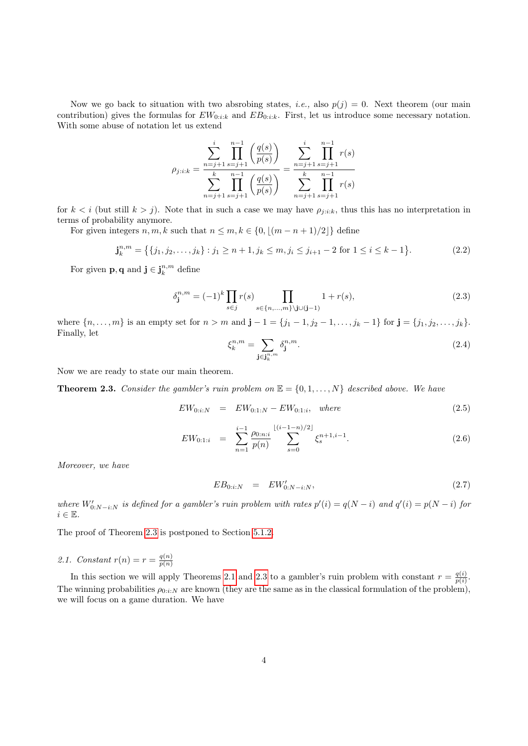Now we go back to situation with two absrobing states, *i.e.*, also  $p(j) = 0$ . Next theorem (our main contribution) gives the formulas for  $EW_{0:i:k}$  and  $EB_{0:i:k}$ . First, let us introduce some necessary notation. With some abuse of notation let us extend

$$
\rho_{j:i:k} = \frac{\sum_{n=j+1}^{i} \prod_{s=j+1}^{n-1} \left( \frac{q(s)}{p(s)} \right)}{\sum_{n=j+1}^{k} \prod_{s=j+1}^{n-1} \left( \frac{q(s)}{p(s)} \right)} = \frac{\sum_{n=j+1}^{i} \prod_{s=j+1}^{n-1} r(s)}{\sum_{n=j+1}^{k} \prod_{s=j+1}^{n-1} r(s)}
$$

for  $k < i$  (but still  $k > j$ ). Note that in such a case we may have  $\rho_{j:i:k}$ , thus this has no interpretation in terms of probability anymore.

For given integers  $n, m, k$  such that  $n \leq m, k \in \{0, \lfloor (m - n + 1)/2 \rfloor\}$  define

$$
\mathbf{j}_{k}^{n,m} = \{ \{j_1, j_2, \dots, j_k\} : j_1 \ge n+1, j_k \le m, j_i \le j_{i+1} - 2 \text{ for } 1 \le i \le k-1 \}. \tag{2.2}
$$

<span id="page-3-2"></span>For given **p**, **q** and  $\mathbf{j} \in \mathbf{j}_{k}^{n,m}$  define

$$
\delta_{\mathbf{j}}^{n,m} = (-1)^k \prod_{s \in j} r(s) \prod_{s \in \{n, \dots, m\} \setminus \mathbf{j} \cup (\mathbf{j} - 1)} 1 + r(s), \tag{2.3}
$$

<span id="page-3-5"></span>where  $\{n, \ldots, m\}$  is an empty set for  $n > m$  and  $\mathbf{j} - 1 = \{j_1 - 1, j_2 - 1, \ldots, j_k - 1\}$  for  $\mathbf{j} = \{j_1, j_2, \ldots, j_k\}$ . Finally, let

<span id="page-3-6"></span>
$$
\xi_k^{n,m} = \sum_{\mathbf{j} \in \mathbf{j}_k^{n,m}} \delta_{\mathbf{j}}^{n,m}.\tag{2.4}
$$

Now we are ready to state our main theorem.

<span id="page-3-1"></span>**Theorem 2.3.** Consider the gambler's ruin problem on  $\mathbb{E} = \{0, 1, ..., N\}$  described above. We have

<span id="page-3-3"></span>
$$
EW_{0:i:N} = EW_{0:1:N} - EW_{0:1:i}, \quad where \tag{2.5}
$$

$$
EW_{0:1:i} \quad = \quad \sum_{n=1}^{i-1} \frac{\rho_{0:n:i}}{p(n)} \sum_{s=0}^{\lfloor (i-1-n)/2 \rfloor} \xi_s^{n+1,i-1}.\tag{2.6}
$$

Moreover, we have

<span id="page-3-4"></span>
$$
EB_{0:i:N} = EW'_{0:N-i:N}, \t\t(2.7)
$$

where  $W'_{0:N-i:N}$  is defined for a gambler's ruin problem with rates  $p'(i) = q(N-i)$  and  $q'(i) = p(N-i)$  for  $i \in \mathbb{E}$ .

The proof of Theorem [2.3](#page-3-1) is postponed to Section [5.1.2.](#page-23-0)

<span id="page-3-0"></span>2.1. Constant  $r(n) = r = \frac{q(n)}{p(n)}$  $p(n)$ 

In this section we will apply Theorems [2.1](#page-2-0) and [2.3](#page-3-1) to a gambler's ruin problem with constant  $r = \frac{q(i)}{n(i)}$  $\frac{q(i)}{p(i)}$ . The winning probabilities  $\rho_{0:i:N}$  are known (they are the same as in the classical formulation of the problem), we will focus on a game duration. We have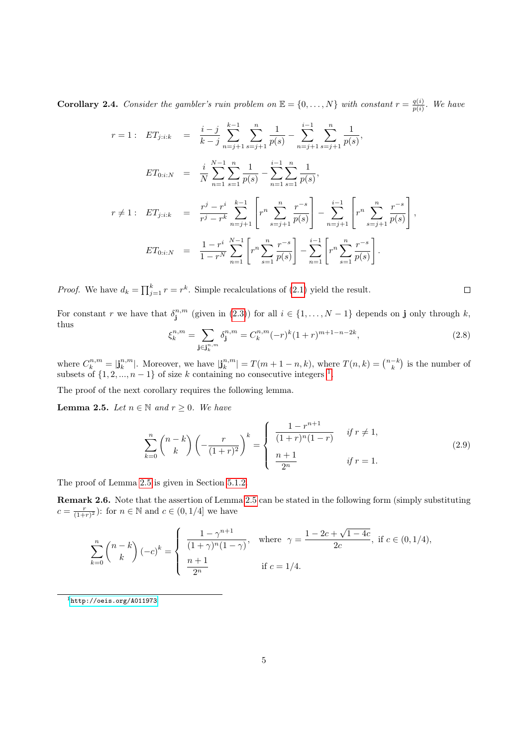<span id="page-4-3"></span>**Corollary 2.4.** Consider the gambler's ruin problem on  $\mathbb{E} = \{0, ..., N\}$  with constant  $r = \frac{q(i)}{n(i)}$  $\frac{q(i)}{p(i)}$ . We have

$$
r = 1: \quad ET_{j:ik} = \frac{i-j}{k-j} \sum_{n=j+1}^{k-1} \sum_{s=j+1}^{n} \frac{1}{p(s)} - \sum_{n=j+1}^{i-1} \sum_{s=j+1}^{n} \frac{1}{p(s)},
$$

$$
ET_{0:i:N} = \frac{i}{N} \sum_{n=1}^{N-1} \sum_{s=1}^{n} \frac{1}{p(s)} - \sum_{n=1}^{i-1} \sum_{s=1}^{n} \frac{1}{p(s)},
$$

$$
r \neq 1: \quad ET_{j:ik} = \frac{r^j - r^i}{r^j - r^k} \sum_{n=j+1}^{k-1} \left[ r^n \sum_{s=j+1}^{n} \frac{r^{-s}}{p(s)} \right] - \sum_{n=j+1}^{i-1} \left[ r^n \sum_{s=j+1}^{n} \frac{r^{-s}}{p(s)} \right],
$$

$$
ET_{0:i:N} = \frac{1 - r^i}{1 - r^N} \sum_{n=1}^{N-1} \left[ r^n \sum_{s=1}^{n} \frac{r^{-s}}{p(s)} \right] - \sum_{n=1}^{i-1} \left[ r^n \sum_{s=1}^{n} \frac{r^{-s}}{p(s)} \right].
$$

*Proof.* We have  $d_k = \prod_{j=1}^k r = r^k$ . Simple recalculations of [\(2.1\)](#page-2-1) yield the result.

<span id="page-4-2"></span>For constant r we have that  $\delta_j^{n,m}$  (given in [\(2.3\)](#page-3-2)) for all  $i \in \{1, ..., N-1\}$  depends on j only through k, thus

$$
\xi_k^{n,m} = \sum_{\mathbf{j} \in \mathbf{j}_k^{n,m}} \delta_{\mathbf{j}}^{n,m} = C_k^{n,m} (-r)^k (1+r)^{m+1-n-2k},\tag{2.8}
$$

where  $C_k^{n,m} = |\mathbf{j}_k^{n,m}|$ . Moreover, we have  $|\mathbf{j}_k^{n,m}| = T(m+1-n,k)$ , where  $T(n,k) = \binom{n-k}{k}$  is the number of subsets of  $\{1, 2, ..., n-1\}$  $\{1, 2, ..., n-1\}$  $\{1, 2, ..., n-1\}$  of size k containing no consecutive integers <sup>1</sup>.

The proof of the next corollary requires the following lemma.

<span id="page-4-1"></span>**Lemma 2.5.** Let  $n \in \mathbb{N}$  and  $r \geq 0$ . We have

<span id="page-4-4"></span>
$$
\sum_{k=0}^{n} {n-k \choose k} \left( -\frac{r}{(1+r)^2} \right)^k = \begin{cases} \frac{1-r^{n+1}}{(1+r)^n(1-r)} & \text{if } r \neq 1, \\ \frac{n+1}{2^n} & \text{if } r = 1. \end{cases}
$$
\n(2.9)

The proof of Lemma [2.5](#page-4-1) is given in Section [5.1.2.](#page-23-0)

Remark 2.6. Note that the assertion of Lemma [2.5](#page-4-1) can be stated in the following form (simply substituting  $c = \frac{r}{(1+r)^2}$ : for  $n \in \mathbb{N}$  and  $c \in (0, 1/4]$  we have

$$
\sum_{k=0}^{n} {n-k \choose k} (-c)^{k} = \begin{cases} \frac{1-\gamma^{n+1}}{(1+\gamma)^{n}(1-\gamma)}, & \text{where } \gamma = \frac{1-2c+\sqrt{1-4c}}{2c}, \text{ if } c \in (0,1/4),\\ \frac{n+1}{2^{n}} & \text{if } c = 1/4. \end{cases}
$$

<span id="page-4-0"></span><sup>1</sup><http://oeis.org/A011973>

 $\Box$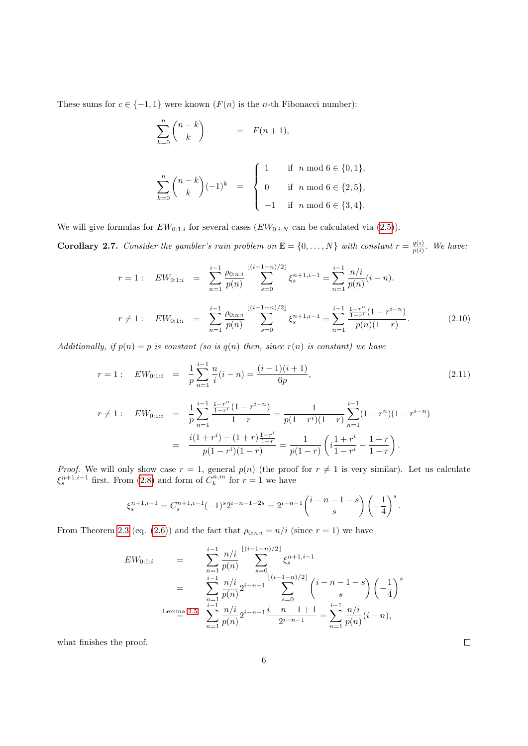These sums for  $c \in \{-1,1\}$  were known  $(F(n))$  is the *n*-th Fibonacci number):

$$
\sum_{k=0}^{n} \binom{n-k}{k} = F(n+1),
$$

$$
\sum_{k=0}^{n} {n-k \choose k} (-1)^k = \begin{cases} 1 & \text{if } n \text{ mod } 6 \in \{0,1\}, \\ 0 & \text{if } n \text{ mod } 6 \in \{2,5\}, \\ -1 & \text{if } n \text{ mod } 6 \in \{3,4\}. \end{cases}
$$

We will give formulas for  $EW_{0:1:i}$  for several cases  $(EW_{0:i:N}$  can be calculated via [\(2.5\)](#page-3-3)).

<span id="page-5-1"></span>**Corollary 2.7.** Consider the gambler's ruin problem on  $\mathbb{E} = \{0, ..., N\}$  with constant  $r = \frac{q(i)}{n(i)}$  $\frac{q(i)}{p(i)}$ . We have:

<span id="page-5-0"></span>
$$
r = 1: \quad EW_{0:1:i} = \sum_{n=1}^{i-1} \frac{\rho_{0:n:i}}{p(n)} \sum_{s=0}^{\lfloor (i-1-n)/2 \rfloor} \xi_s^{n+1,i-1} = \sum_{n=1}^{i-1} \frac{n/i}{p(n)} (i-n).
$$

$$
r \neq 1: \quad EW_{0:1:i} = \sum_{n=1}^{i-1} \frac{\rho_{0:n:i}}{p(n)} \sum_{s=0}^{\lfloor (i-1-n)/2 \rfloor} \xi_s^{n+1,i-1} = \sum_{n=1}^{i-1} \frac{\frac{1-r^n}{1-r^i} (1-r^{i-n})}{p(n)(1-r)}.
$$
(2.10)

Additionally, if  $p(n) = p$  is constant (so is  $q(n)$  then, since  $r(n)$  is constant) we have

<span id="page-5-2"></span>
$$
r = 1: \quad EW_{0:1:i} = \frac{1}{p} \sum_{n=1}^{i-1} \frac{n}{i} (i-n) = \frac{(i-1)(i+1)}{6p}, \tag{2.11}
$$

$$
r \neq 1: \quad EW_{0:1:i} = \frac{1}{p} \sum_{n=1}^{i-1} \frac{\frac{1-r^n}{1-r^i} (1-r^{i-n})}{1-r} = \frac{1}{p(1-r^i)(1-r)} \sum_{n=1}^{i-1} (1-r^n)(1-r^{i-n})
$$

$$
= \frac{i(1+r^i) - (1+r)\frac{1-r^i}{1-r}}{p(1-r^i)(1-r)} = \frac{1}{p(1-r)} \left(i\frac{1+r^i}{1-r^i} - \frac{1+r}{1-r}\right).
$$

*Proof.* We will only show case  $r = 1$ , general  $p(n)$  (the proof for  $r \neq 1$  is very similar). Let us calculate  $\xi_s^{n+1,i-1}$  first. From [\(2.8\)](#page-4-2) and form of  $C_k^{n,m}$  for  $r=1$  we have

$$
\xi_s^{n+1,i-1} = C_s^{n+1,i-1}(-1)^s 2^{i-n-1-2s} = 2^{i-n-1} \binom{i-n-1-s}{s} \left(-\frac{1}{4}\right)^s.
$$

From Theorem [2.3](#page-3-1) (eq. [\(2.6\)](#page-3-3)) and the fact that  $\rho_{0:n:i} = n/i$  (since  $r = 1$ ) we have

$$
EW_{0:1:i} = \sum_{n=1}^{i-1} \frac{n/i}{p(n)} \sum_{s=0}^{\lfloor (i-1-n)/2 \rfloor} \xi_s^{n+1,i-1}
$$
  
= 
$$
\sum_{n=1}^{i-1} \frac{n/i}{p(n)} 2^{i-n-1} \sum_{s=0}^{\lfloor (i-1-n)/2 \rfloor} {i-n-1-s \choose s} \left(-\frac{1}{4}\right)^s
$$
  
Lemma 2.5 
$$
\sum_{n=1}^{i-1} \frac{n/i}{p(n)} 2^{i-n-1} \frac{i-n-1+1}{2^{i-n-1}} = \sum_{n=1}^{i-1} \frac{n/i}{p(n)} (i-n),
$$

what finishes the proof.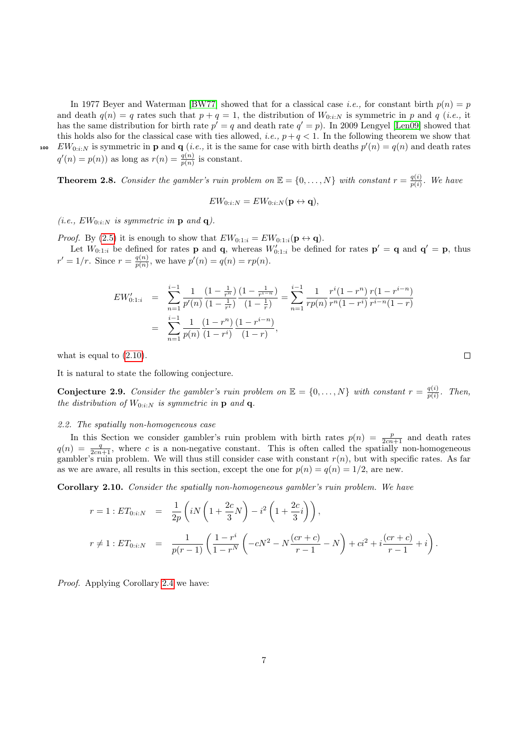100  $EW_{0:i:N}$  is symmetric in **p** and **q** (*i.e.*, it is the same for case with birth deaths  $p'(n) = q(n)$  and death rates

 $q'(n) = p(n)$  as long as  $r(n) = \frac{q(n)}{p(n)}$  is constant.

**Theorem 2.8.** Consider the gambler's ruin problem on  $\mathbb{E} = \{0, \ldots, N\}$  with constant  $r = \frac{q(i)}{n(i)}$  $\frac{q(i)}{p(i)}$ . We have

In 1977 Beyer and Waterman [\[BW77\]](#page-30-10) showed that for a classical case *i.e.*, for constant birth  $p(n) = p$ and death  $q(n) = q$  rates such that  $p + q = 1$ , the distribution of  $W_{0:i:N}$  is symmetric in p and q (*i.e.*, it has the same distribution for birth rate  $p' = q$  and death rate  $q' = p$ ). In 2009 Lengyel [\[Len09\]](#page-30-4) showed that this holds also for the classical case with ties allowed, *i.e.*,  $p + q < 1$ . In the following theorem we show that

$$
EW_{0:i:N}=EW_{0:i:N}(\mathbf{p}\leftrightarrow \mathbf{q}),
$$

(i.e.,  $EW_{0:i:N}$  is symmetric in **p** and **q**).

*Proof.* By [\(2.5\)](#page-3-3) it is enough to show that  $EW_{0:1:i} = EW_{0:1:i}(\mathbf{p} \leftrightarrow \mathbf{q})$ .

Let  $W_{0,1:i}$  be defined for rates **p** and **q**, whereas  $W'_{0,1:i}$  be defined for rates  $p' = q$  and  $q' = p$ , thus  $r' = 1/r$ . Since  $r = \frac{q(n)}{n(n)}$  $\frac{q(n)}{p(n)}$ , we have  $p'(n) = q(n) = rp(n)$ .

$$
EW'_{0:1:i} = \sum_{n=1}^{i-1} \frac{1}{p'(n)} \frac{\left(1 - \frac{1}{r^n}\right)}{\left(1 - \frac{1}{r^i}\right)} \frac{\left(1 - \frac{1}{r^{i-n}}\right)}{\left(1 - \frac{1}{r}\right)} = \sum_{n=1}^{i-1} \frac{1}{rp(n)} \frac{r^i(1 - r^n)}{r^n(1 - r^i)} \frac{r(1 - r^{i-n})}{r^{i-n}(1 - r)}
$$
  
= 
$$
\sum_{n=1}^{i-1} \frac{1}{p(n)} \frac{\left(1 - r^n\right)}{\left(1 - r^i\right)} \frac{\left(1 - r^{i-n}\right)}{\left(1 - r\right)},
$$

what is equal to  $(2.10)$ .

It is natural to state the following conjecture.

**Conjecture 2.9.** Consider the gambler's ruin problem on  $\mathbb{E} = \{0, \ldots, N\}$  with constant  $r = \frac{q(i)}{q(i)}$  $\frac{q(i)}{p(i)}$ . Then, the distribution of  $W_{0:i:N}$  is symmetric in **p** and **q**.

#### <span id="page-6-0"></span>2.2. The spatially non-homogeneous case

In this Section we consider gambler's ruin problem with birth rates  $p(n) = \frac{p}{2cn+1}$  and death rates  $q(n) = \frac{q}{2cn+1}$ , where c is a non-negative constant. This is often called the spatially non-homogeneous gambler's ruin problem. We will thus still consider case with constant  $r(n)$ , but with specific rates. As far as we are aware, all results in this section, except the one for  $p(n) = q(n) = 1/2$ , are new.

Corollary 2.10. Consider the spatially non-homogeneous gambler's ruin problem. We have

$$
r = 1 : ET_{0:i:N} = \frac{1}{2p} \left( iN \left( 1 + \frac{2c}{3} N \right) - i^2 \left( 1 + \frac{2c}{3} i \right) \right),
$$
  

$$
r \neq 1 : ET_{0:i:N} = \frac{1}{p(r-1)} \left( \frac{1 - r^i}{1 - r^N} \left( -cN^2 - N \frac{(cr+c)}{r-1} - N \right) + ci^2 + i \frac{(cr+c)}{r-1} + i \right).
$$

Proof. Applying Corollary [2.4](#page-4-3) we have:

 $\Box$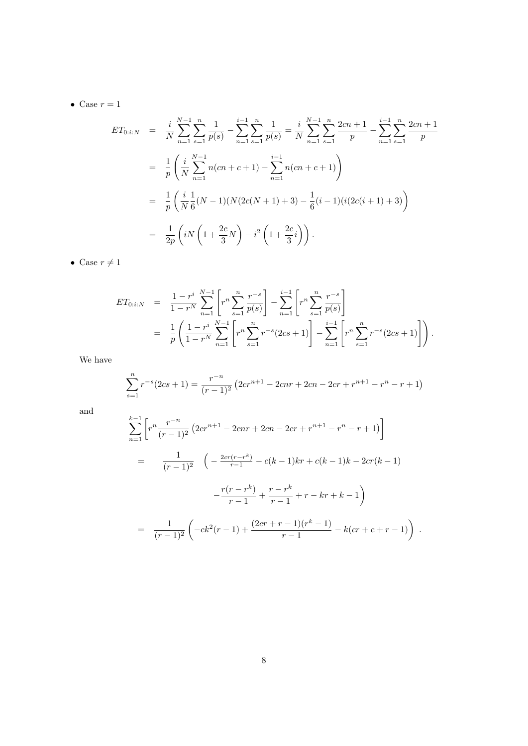• Case  $r = 1$ 

$$
ET_{0:i:N} = \frac{i}{N} \sum_{n=1}^{N-1} \sum_{s=1}^{n} \frac{1}{p(s)} - \sum_{n=1}^{i-1} \sum_{s=1}^{n} \frac{1}{p(s)} = \frac{i}{N} \sum_{n=1}^{N-1} \sum_{s=1}^{n} \frac{2cn+1}{p} - \sum_{n=1}^{i-1} \sum_{s=1}^{n} \frac{2cn+1}{p}
$$
  
\n
$$
= \frac{1}{p} \left( \frac{i}{N} \sum_{n=1}^{N-1} n(cn+c+1) - \sum_{n=1}^{i-1} n(cn+c+1) \right)
$$
  
\n
$$
= \frac{1}{p} \left( \frac{i}{N} \frac{1}{6} (N-1)(N(2c(N+1)+3) - \frac{1}{6} (i-1)(i(2c(i+1)+3)) \right)
$$
  
\n
$$
= \frac{1}{2p} \left( iN \left( 1 + \frac{2c}{3} N \right) - i^2 \left( 1 + \frac{2c}{3} i \right) \right).
$$

• Case  $r \neq 1$ 

$$
ET_{0:i:N} = \frac{1 - r^i}{1 - r^N} \sum_{n=1}^{N-1} \left[ r^n \sum_{s=1}^n \frac{r^{-s}}{p(s)} \right] - \sum_{n=1}^{i-1} \left[ r^n \sum_{s=1}^n \frac{r^{-s}}{p(s)} \right]
$$
  
= 
$$
\frac{1}{p} \left( \frac{1 - r^i}{1 - r^N} \sum_{n=1}^{N-1} \left[ r^n \sum_{s=1}^n r^{-s} (2cs + 1) \right] - \sum_{n=1}^{i-1} \left[ r^n \sum_{s=1}^n r^{-s} (2cs + 1) \right] \right).
$$

We have

$$
\sum_{s=1}^{n} r^{-s} (2cs+1) = \frac{r^{-n}}{(r-1)^2} \left( 2cr^{n+1} - 2cnr + 2cn - 2cr + r^{n+1} - r^n - r + 1 \right)
$$

and

$$
\sum_{n=1}^{k-1} \left[ r^n \frac{r^{-n}}{(r-1)^2} \left( 2cr^{n+1} - 2cnr + 2cn - 2cr + r^{n+1} - r^n - r + 1 \right) \right]
$$
  
= 
$$
\frac{1}{(r-1)^2} \left( -\frac{2cr(r-r^k)}{r-1} - c(k-1)kr + c(k-1)k - 2cr(k-1)
$$

$$
-\frac{r(r-r^k)}{r-1} + \frac{r-r^k}{r-1} + r - kr + k - 1 \right)
$$
  
= 
$$
\frac{1}{(r-1)^2} \left( -ck^2(r-1) + \frac{(2cr + r - 1)(r^k - 1)}{r-1} - k(cf + c + r - 1) \right).
$$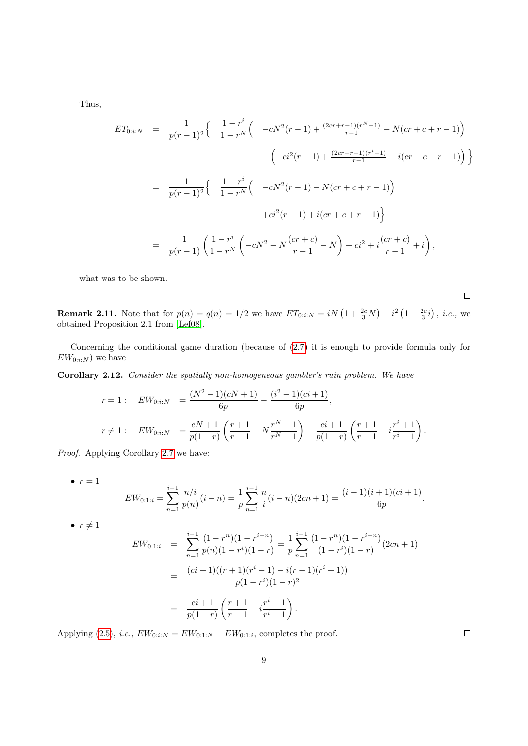Thus,

$$
ET_{0:i:N} = \frac{1}{p(r-1)^2} \left\{ \begin{array}{c} \frac{1-r^i}{1-r^N} \Big( -cN^2(r-1) + \frac{(2cr+r-1)(r^N-1)}{r-1} - N(cr+c+r-1) \Big) \\ \\ -\Big( -ci^2(r-1) + \frac{(2cr+r-1)(r^i-1)}{r-1} - i(cr+c+r-1) \Big) \Big\} \\ \\ = \frac{1}{p(r-1)^2} \left\{ \begin{array}{c} \frac{1-r^i}{1-r^N} \Big( -cN^2(r-1) - N(cr+c+r-1) \Big) \\ \\ +ci^2(r-1) + i(cr+c+r-1) \Big\} \end{array} \right. \\ = \frac{1}{p(r-1)} \left( \frac{1-r^i}{1-r^N} \Big( -cN^2 - N\frac{(cr+c)}{r-1} - N \Big) + ci^2 + i\frac{(cr+c)}{r-1} + i \right),
$$

what was to be shown.

 $\Box$ 

**Remark 2.11.** Note that for  $p(n) = q(n) = 1/2$  we have  $ET_{0:i:N} = iN(1 + \frac{2c}{3}N) - i^2(1 + \frac{2c}{3}i)$ , *i.e.*, we obtained Proposition 2.1 from [\[Lef08\]](#page-30-5).

Concerning the conditional game duration (because of [\(2.7\)](#page-3-4) it is enough to provide formula only for  $EW_{0:i:N}$  we have

<span id="page-8-0"></span>Corollary 2.12. Consider the spatially non-homogeneous gambler's ruin problem. We have

$$
r = 1: \quad EW_{0:i:N} = \frac{(N^2 - 1)(cN + 1)}{6p} - \frac{(i^2 - 1)(ci + 1)}{6p},
$$
  

$$
r \neq 1: \quad EW_{0:i:N} = \frac{cN + 1}{p(1 - r)} \left(\frac{r + 1}{r - 1} - N \frac{r^N + 1}{r^N - 1}\right) - \frac{ci + 1}{p(1 - r)} \left(\frac{r + 1}{r - 1} - i \frac{r^i + 1}{r^i - 1}\right).
$$

Proof. Applying Corollary [2.7](#page-5-1) we have:

 $\bullet$   $r = 1$ 

$$
EW_{0:1:i} = \sum_{n=1}^{i-1} \frac{n/i}{p(n)} (i-n) = \frac{1}{p} \sum_{n=1}^{i-1} \frac{n}{i} (i-n)(2cn+1) = \frac{(i-1)(i+1)(ci+1)}{6p}.
$$

 $\bullet r \neq 1$ 

$$
EW_{0:1:i} = \sum_{n=1}^{i-1} \frac{(1-r^n)(1-r^{i-n})}{p(n)(1-r^i)(1-r)} = \frac{1}{p} \sum_{n=1}^{i-1} \frac{(1-r^n)(1-r^{i-n})}{(1-r^i)(1-r)} (2cn+1)
$$
  

$$
= \frac{(ci+1)((r+1)(r^i-1) - i(r-1)(r^i+1))}{p(1-r^i)(1-r)^2}
$$
  

$$
= \frac{ci+1}{p(1-r)} \left(\frac{r+1}{r-1} - i\frac{r^i+1}{r^i-1}\right).
$$

Applying [\(2.5\)](#page-3-3), *i.e.*,  $EW_{0:i:N} = EW_{0:1:N} - EW_{0:1:i}$ , completes the proof.

 $\Box$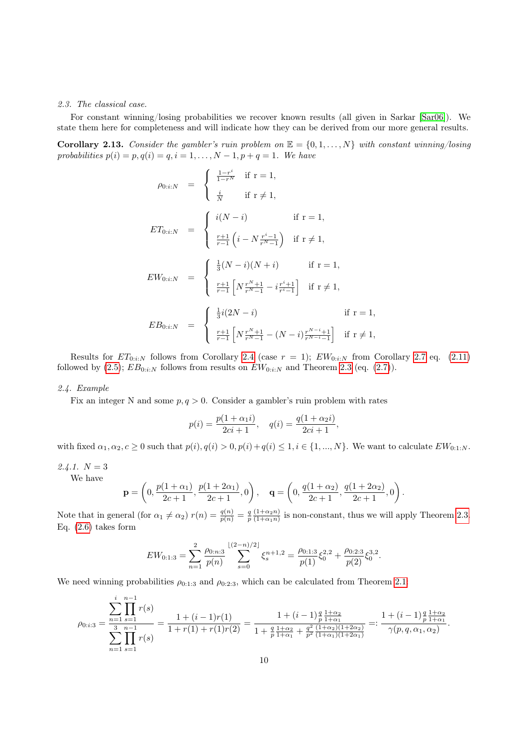#### <span id="page-9-0"></span>2.3. The classical case.

For constant winning/losing probabilities we recover known results (all given in Sarkar [\[Sar06\]](#page-30-0)). We state them here for completeness and will indicate how they can be derived from our more general results.

Corollary 2.13. Consider the gambler's ruin problem on  $\mathbb{E} = \{0, 1, \ldots, N\}$  with constant winning/losing probabilities  $p(i) = p, q(i) = q, i = 1, ..., N - 1, p + q = 1$ . We have

$$
\rho_{0:i:N} = \begin{cases}\n\frac{1-r^{i}}{1-r^{N}} & \text{if } r = 1, \\
\frac{i}{N} & \text{if } r \neq 1, \\
\frac{r+1}{r-1} (i - N \frac{r^{i}-1}{r^{N}-1}) & \text{if } r = 1,\n\end{cases}
$$
\n
$$
EW_{0:i:N} = \begin{cases}\n\frac{1}{3}(N-i)(N+i) & \text{if } r = 1, \\
\frac{r+1}{r-1} [N \frac{r^{N}+1}{r^{N}-1} - i \frac{r^{i}+1}{r^{i}-1}] & \text{if } r \neq 1, \\
\frac{1}{3}i(2N-i) & \text{if } r = 1,\n\end{cases}
$$
\n
$$
EB_{0:i:N} = \begin{cases}\n\frac{1}{3}i(2N-i) & \text{if } r = 1, \\
\frac{r+1}{r-1} [N \frac{r^{N}+1}{r^{N}-1} - (N-i) \frac{r^{N-i}+1}{r^{N-i}-1}] & \text{if } r \neq 1,\n\end{cases}
$$

Results for  $ET_{0:i:N}$  follows from Corollary [2.4](#page-4-3) (case  $r = 1$ );  $EW_{0:i:N}$  from Corollary [2.7](#page-5-1) eq. [\(2.11\)](#page-5-2) followed by [\(2.5\)](#page-3-3);  $EB_{0:i:N}$  follows from results on  $EW_{0:i:N}$  and Theorem [2.3](#page-3-1) (eq. [\(2.7\)](#page-3-4)).

## <span id="page-9-1"></span>2.4. Example

Fix an integer N and some  $p, q > 0$ . Consider a gambler's ruin problem with rates

$$
p(i) = \frac{p(1 + \alpha_1 i)}{2ci + 1}, \quad q(i) = \frac{q(1 + \alpha_2 i)}{2ci + 1},
$$

with fixed  $\alpha_1, \alpha_2, c \geq 0$  such that  $p(i), q(i) > 0, p(i) + q(i) \leq 1, i \in \{1, ..., N\}$ . We want to calculate  $EW_{0:1:N}$ .

2.4.1.  $N = 3$ We have

$$
\mathbf{p} = \left(0, \frac{p(1+\alpha_1)}{2c+1}, \frac{p(1+2\alpha_1)}{2c+1}, 0\right), \quad \mathbf{q} = \left(0, \frac{q(1+\alpha_2)}{2c+1}, \frac{q(1+2\alpha_2)}{2c+1}, 0\right).
$$

Note that in general (for  $\alpha_1 \neq \alpha_2$ )  $r(n) = \frac{q(n)}{p(n)} = \frac{q(1+\alpha_2 n)}{p(1+\alpha_1 n)}$  $\frac{(1+\alpha_2 n)}{(1+\alpha_1 n)}$  is non-constant, thus we will apply Theorem [2.3.](#page-3-1) Eq.  $(2.6)$  takes form

$$
EW_{0:1:3} = \sum_{n=1}^{2} \frac{\rho_{0:n:3}}{p(n)} \sum_{s=0}^{\lfloor (2-n)/2 \rfloor} \xi_s^{n+1,2} = \frac{\rho_{0:1:3}}{p(1)} \xi_0^{2,2} + \frac{\rho_{0:2:3}}{p(2)} \xi_0^{3,2}.
$$

We need winning probabilities  $\rho_{0:1:3}$  and  $\rho_{0:2:3}$ , which can be calculated from Theorem [2.1:](#page-2-0)

$$
\rho_{0:i:3} = \frac{\displaystyle\sum_{n=1}^{i}\prod_{s=1}^{n-1}r(s)}{\displaystyle\sum_{n=1}^{3}\prod_{s=1}^{n-1}r(s)} = \frac{1+(i-1)r(1)}{1+r(1)+r(1)r(2)} = \frac{1+(i-1)\frac{q}{p}\frac{1+\alpha_{2}}{1+\alpha_{1}}}{1+\frac{q}{p}\frac{1+\alpha_{2}}{1+\alpha_{1}}+\frac{q^{2}}{p^{2}}\frac{(1+\alpha_{2})(1+2\alpha_{2})}{(1+\alpha_{1})(1+2\alpha_{1})}} =: \frac{1+(i-1)\frac{q}{p}\frac{1+\alpha_{2}}{1+\alpha_{1}}}{\gamma(p,q,\alpha_{1},\alpha_{2})}.
$$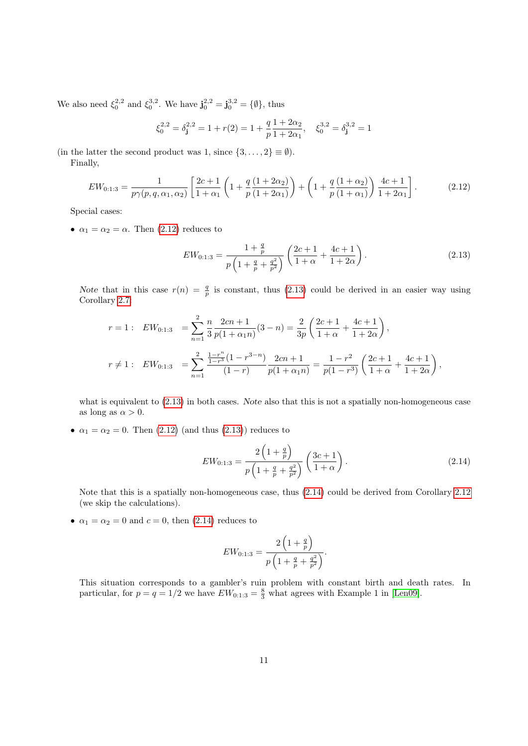We also need  $\xi_0^{2,2}$  and  $\xi_0^{3,2}$ . We have  $\mathbf{j}_0^{2,2} = \mathbf{j}_0^{3,2} = {\emptyset}$ , thus

$$
\xi_0^{2,2} = \delta_{\mathbf{j}}^{2,2} = 1 + r(2) = 1 + \frac{q}{p} \frac{1 + 2\alpha_2}{1 + 2\alpha_1}, \quad \xi_0^{3,2} = \delta_{\mathbf{j}}^{3,2} = 1
$$

(in the latter the second product was 1, since  $\{3,\ldots,2\} \equiv \emptyset$ ).

Finally,

<span id="page-10-0"></span>
$$
EW_{0:1:3} = \frac{1}{p\gamma(p,q,\alpha_1,\alpha_2)} \left[ \frac{2c+1}{1+\alpha_1} \left( 1 + \frac{q}{p} \frac{(1+2\alpha_2)}{(1+2\alpha_1)} \right) + \left( 1 + \frac{q}{p} \frac{(1+\alpha_2)}{(1+\alpha_1)} \right) \frac{4c+1}{1+2\alpha_1} \right].
$$
 (2.12)

Special cases:

•  $\alpha_1 = \alpha_2 = \alpha$ . Then [\(2.12\)](#page-10-0) reduces to

<span id="page-10-1"></span>
$$
EW_{0:1:3} = \frac{1 + \frac{q}{p}}{p\left(1 + \frac{q}{p} + \frac{q^2}{p^2}\right)} \left(\frac{2c + 1}{1 + \alpha} + \frac{4c + 1}{1 + 2\alpha}\right). \tag{2.13}
$$

Note that in this case  $r(n) = \frac{q}{p}$  is constant, thus [\(2.13\)](#page-10-1) could be derived in an easier way using Corollary [2.7:](#page-5-1)

$$
r = 1: EW_{0:1:3} = \sum_{n=1}^{2} \frac{n}{3} \frac{2cn+1}{p(1+\alpha_1 n)} (3-n) = \frac{2}{3p} \left( \frac{2c+1}{1+\alpha} + \frac{4c+1}{1+2\alpha} \right),
$$
  

$$
r \neq 1: EW_{0:1:3} = \sum_{n=1}^{2} \frac{\frac{1-r^n}{1-r^3} (1-r^{3-n})}{(1-r)} \frac{2cn+1}{p(1+\alpha_1 n)} = \frac{1-r^2}{p(1-r^3)} \left( \frac{2c+1}{1+\alpha} + \frac{4c+1}{1+2\alpha} \right),
$$

what is equivalent to [\(2.13\)](#page-10-1) in both cases. Note also that this is not a spatially non-homogeneous case as long as  $\alpha > 0$ .

•  $\alpha_1 = \alpha_2 = 0$ . Then [\(2.12\)](#page-10-0) (and thus [\(2.13\)](#page-10-1)) reduces to

<span id="page-10-2"></span>
$$
EW_{0:1:3} = \frac{2\left(1+\frac{q}{p}\right)}{p\left(1+\frac{q}{p}+\frac{q^2}{p^2}\right)} \left(\frac{3c+1}{1+\alpha}\right). \tag{2.14}
$$

Note that this is a spatially non-homogeneous case, thus [\(2.14\)](#page-10-2) could be derived from Corollary [2.12](#page-8-0) (we skip the calculations).

•  $\alpha_1 = \alpha_2 = 0$  and  $c = 0$ , then [\(2.14\)](#page-10-2) reduces to

$$
EW_{0:1:3} = \frac{2\left(1+\frac{q}{p}\right)}{p\left(1+\frac{q}{p}+\frac{q^2}{p^2}\right)}.
$$

This situation corresponds to a gambler's ruin problem with constant birth and death rates. In particular, for  $p = q = 1/2$  we have  $EW_{0:1:3} = \frac{8}{3}$  what agrees with Example 1 in [\[Len09\]](#page-30-4).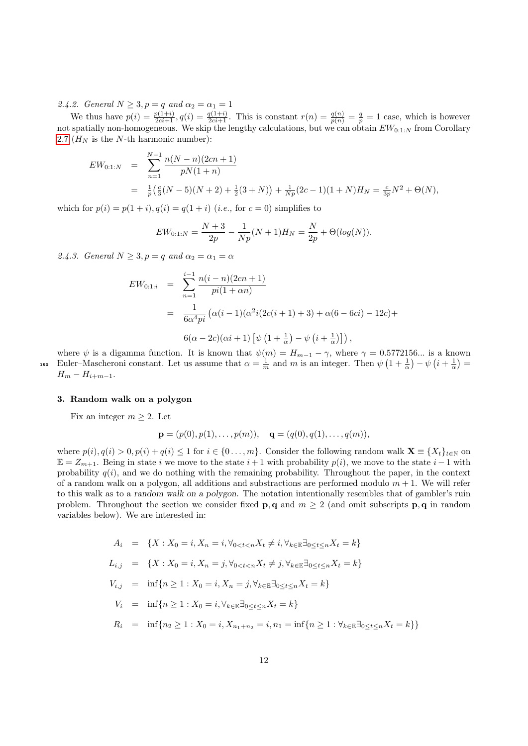2.4.2. General  $N \geq 3, p = q$  and  $\alpha_2 = \alpha_1 = 1$ 

We thus have  $p(i) = \frac{p(1+i)}{2ci+1}$ ,  $q(i) = \frac{q(1+i)}{2ci+1}$ . This is constant  $r(n) = \frac{q(n)}{p(n)} = \frac{q}{p} = 1$  case, which is however not spatially non-homogeneous. We skip the lengthy calculations, but we can obtain  $EW_{0:1:N}$  from Corollary [2.7](#page-5-1) ( $H_N$  is the N-th harmonic number):

$$
EW_{0:1:N} = \sum_{n=1}^{N-1} \frac{n(N-n)(2cn+1)}{pN(1+n)}
$$
  
=  $\frac{1}{p} \left( \frac{c}{3}(N-5)(N+2) + \frac{1}{2}(3+N) \right) + \frac{1}{Np}(2c-1)(1+N)H_N = \frac{c}{3p}N^2 + \Theta(N),$ 

which for  $p(i) = p(1 + i)$ ,  $q(i) = q(1 + i)$  (*i.e.*, for  $c = 0$ ) simplifies to

$$
EW_{0:1:N} = \frac{N+3}{2p} - \frac{1}{Np}(N+1)H_N = \frac{N}{2p} + \Theta(log(N)).
$$

2.4.3. General  $N \geq 3, p = q$  and  $\alpha_2 = \alpha_1 = \alpha$ 

$$
EW_{0:1:i} = \sum_{n=1}^{i-1} \frac{n(i-n)(2cn+1)}{pi(1+\alpha n)}
$$
  
= 
$$
\frac{1}{6\alpha^4 pi} (\alpha(i-1)(\alpha^2 i(2c(i+1)+3) + \alpha(6-6ci) - 12c) +
$$
  

$$
6(\alpha - 2c)(\alpha i + 1) [\psi(1 + \frac{1}{\alpha}) - \psi(i + \frac{1}{\alpha})])
$$
,

where  $\psi$  is a digamma function. It is known that  $\psi(m) = H_{m-1} - \gamma$ , where  $\gamma = 0.5772156...$  is a known 150 Euler–Mascheroni constant. Let us assume that  $\alpha = \frac{1}{m}$  and m is an integer. Then  $\psi\left(1+\frac{1}{\alpha}\right) - \psi\left(i+\frac{1}{\alpha}\right) =$  $H_m - H_{i+m-1}.$ 

#### <span id="page-11-0"></span>3. Random walk on a polygon

Fix an integer  $m \geq 2$ . Let

$$
\mathbf{p} = (p(0), p(1), \dots, p(m)), \quad \mathbf{q} = (q(0), q(1), \dots, q(m)),
$$

where  $p(i)$ ,  $q(i) > 0$ ,  $p(i) + q(i) \leq 1$  for  $i \in \{0, ..., m\}$ . Consider the following random walk  $\mathbf{X} \equiv \{X_t\}_{t \in \mathbb{N}}$  on  $E = Z_{m+1}$ . Being in state i we move to the state  $i + 1$  with probability  $p(i)$ , we move to the state  $i - 1$  with probability  $q(i)$ , and we do nothing with the remaining probability. Throughout the paper, in the context of a random walk on a polygon, all additions and substractions are performed modulo  $m + 1$ . We will refer to this walk as to a random walk on a polygon. The notation intentionally resembles that of gambler's ruin problem. Throughout the section we consider fixed **p**, q and  $m \geq 2$  (and omit subscripts **p**, q in random variables below). We are interested in:

$$
A_i = \{X : X_0 = i, X_n = i, \forall_{0 < t < n} X_t \neq i, \forall_{k \in \mathbb{E}} \exists_{0 \le t \le n} X_t = k\}
$$

$$
L_{i,j} = \{X : X_0 = i, X_n = j, \forall_{0 < t < n} X_t \neq j, \forall_{k \in \mathbb{E}} \exists_{0 \le t \le n} X_t = k\}
$$

$$
V_{i,j} = \inf\{n \ge 1 : X_0 = i, X_n = j, \forall_{k \in \mathbb{E}} \exists_{0 \le t \le n} X_t = k\}
$$

$$
V_i = \inf \{ n \ge 1 : X_0 = i, \forall_{k \in \mathbb{E}} \exists_{0 \le t \le n} X_t = k \}
$$

$$
R_i = \inf\{n_2 \ge 1 : X_0 = i, X_{n_1 + n_2} = i, n_1 = \inf\{n \ge 1 : \forall_{k \in \mathbb{E}}\exists_{0 \le t \le n} X_t = k\}\}
$$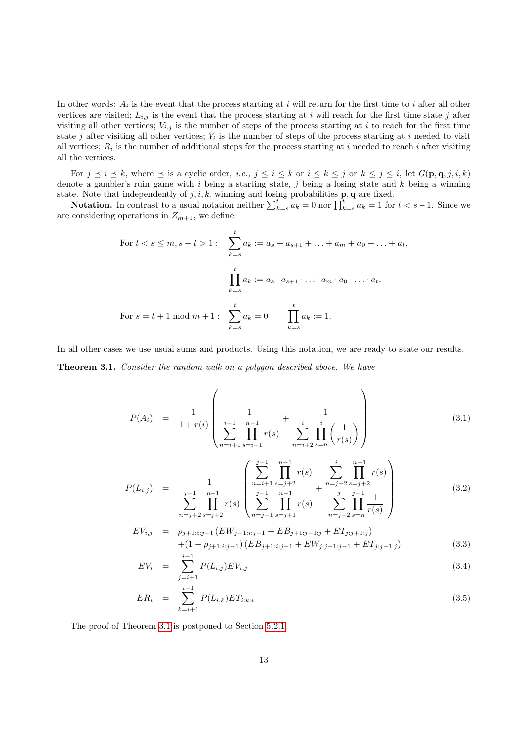In other words:  $A_i$  is the event that the process starting at i will return for the first time to i after all other vertices are visited;  $L_{i,j}$  is the event that the process starting at i will reach for the first time state j after visiting all other vertices;  $V_{i,j}$  is the number of steps of the process starting at i to reach for the first time state j after visiting all other vertices;  $V_i$  is the number of steps of the process starting at i needed to visit all vertices;  $R_i$  is the number of additional steps for the process starting at i needed to reach i after visiting all the vertices.

For  $j \leq i \leq k$ , where  $\leq$  is a cyclic order, *i.e.*,  $j \leq i \leq k$  or  $i \leq k \leq j$  or  $k \leq j \leq i$ , let  $G(\mathbf{p}, \mathbf{q}, j, i, k)$ denote a gambler's ruin game with  $i$  being a starting state,  $j$  being a losing state and  $k$  being a winning state. Note that independently of  $j, i, k$ , winning and losing probabilities  $\mathbf{p}, \mathbf{q}$  are fixed.

**Notation.** In contrast to a usual notation neither  $\sum_{k=s}^{t} a_k = 0$  nor  $\prod_{k=s}^{t} a_k = 1$  for  $t < s - 1$ . Since we are considering operations in  $Z_{m+1}$ , we define

For 
$$
t < s \le m, s - t > 1
$$
:  $\sum_{k=s}^{t} a_k := a_s + a_{s+1} + \ldots + a_m + a_0 + \ldots + a_t$ ,  
\n
$$
\prod_{k=s}^{t} a_k := a_s \cdot a_{s+1} \cdot \ldots \cdot a_m \cdot a_0 \cdot \ldots \cdot a_t,
$$
\nFor  $s = t + 1 \mod m + 1$ :  $\sum_{k=s}^{t} a_k = 0$   $\prod_{k=s}^{t} a_k := 1.$ 

In all other cases we use usual sums and products. Using this notation, we are ready to state our results.

<span id="page-12-0"></span>Theorem 3.1. Consider the random walk on a polygon described above. We have

<span id="page-12-1"></span>
$$
P(A_i) = \frac{1}{1+r(i)} \left( \frac{1}{\sum_{n=i+1}^{i-1} \prod_{s=i+1}^{n-1} r(s)} + \frac{1}{\sum_{n=i+2}^{i} \prod_{s=n}^{i} \left( \frac{1}{r(s)} \right)} \right)
$$
(3.1)

$$
P(L_{i,j}) = \frac{1}{\sum_{n=j+2}^{j-1} \prod_{s=j+2}^{n-1} r(s)} \left( \sum_{n=j+1}^{j-1} \prod_{s=j+1}^{n-1} r(s) + \frac{\sum_{n=j+2}^{i} \prod_{s=j+2}^{n-1} r(s)}{\sum_{n=j+2}^{j-1} \prod_{s=n}^{n-1} r(s)} \right)
$$
(3.2)

$$
EV_{i,j} = \rho_{j+1:i:j-1} (EW_{j+1:i:j-1} + EB_{j+1:j-1:j} + ET_{j:j+1:j}) + (1 - \rho_{j+1:i:j-1}) (EB_{j+1:i:j-1} + EW_{j:j+1:j-1} + ET_{j:j-1:j})
$$
(3.3)

$$
EV_i = \sum_{j=i+1}^{i-1} P(L_{i,j}) EV_{i,j} \tag{3.4}
$$

$$
ER_i = \sum_{k=i+1}^{i-1} P(L_{i,k}) ET_{i:k:i}
$$
\n(3.5)

The proof of Theorem [3.1](#page-12-0) is postponed to Section [5.2.1.](#page-28-0)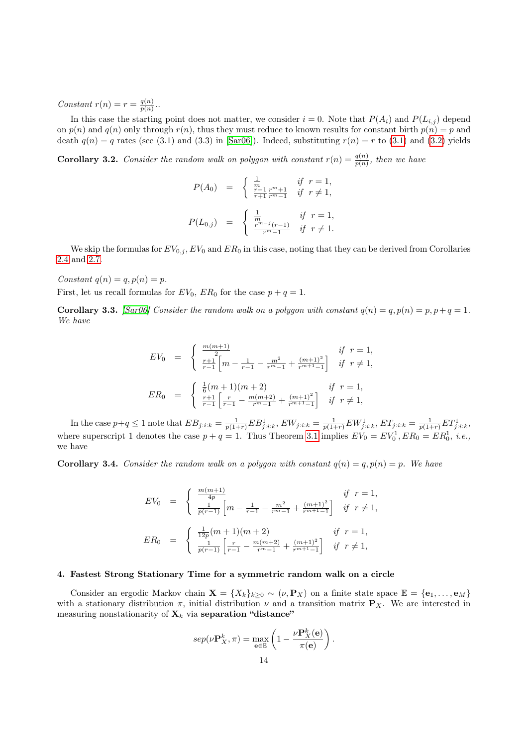Constant  $r(n) = r = \frac{q(n)}{n(n)}$  $\frac{q(n)}{p(n)}$ ..

In this case the starting point does not matter, we consider  $i = 0$ . Note that  $P(A_i)$  and  $P(L_{i,j})$  depend on  $p(n)$  and  $q(n)$  only through  $r(n)$ , thus they must reduce to known results for constant birth  $p(n) = p$  and death  $q(n) = q$  rates (see (3.1) and (3.3) in [\[Sar06\]](#page-30-0)). Indeed, substituting  $r(n) = r$  to [\(3.1\)](#page-12-1) and [\(3.2\)](#page-12-1) yields

**Corollary 3.2.** Consider the random walk on polygon with constant  $r(n) = \frac{q(n)}{p(n)}$ , then we have

$$
P(A_0) = \begin{cases} \frac{1}{m} & \text{if } r = 1, \\ \frac{r-1}{r+1} \frac{r^m+1}{r^m-1} & \text{if } r \neq 1, \end{cases}
$$
  

$$
P(L_{0,j}) = \begin{cases} \frac{1}{m} & \text{if } r = 1, \\ \frac{r^m-j(r-1)}{r^m-1} & \text{if } r \neq 1. \end{cases}
$$

We skip the formulas for  $EV_{0,i}$ ,  $EV_0$  and  $ER_0$  in this case, noting that they can be derived from Corollaries [2.4](#page-4-3) and [2.7.](#page-5-1)

Constant  $q(n) = q, p(n) = p$ .

First, let us recall formulas for  $EV_0$ ,  $ER_0$  for the case  $p + q = 1$ .

**Corollary 3.3.** [\[Sar06\]](#page-30-0) Consider the random walk on a polygon with constant  $q(n) = q, p(n) = p, p+q = 1$ . We have

$$
EV_0 = \begin{cases} \frac{m(m+1)}{2} & \text{if } r = 1, \\ \frac{r+1}{r-1} \left[ m - \frac{1}{r-1} - \frac{m^2}{r^m-1} + \frac{(m+1)^2}{r^{m+1}-1} \right] & \text{if } r \neq 1, \end{cases}
$$
  

$$
ER_0 = \begin{cases} \frac{1}{6}(m+1)(m+2) & \text{if } r = 1, \\ \frac{r+1}{r-1} \left[ \frac{r}{r-1} - \frac{m(m+2)}{r^m-1} + \frac{(m+1)^2}{r^{m+1}-1} \right] & \text{if } r \neq 1, \end{cases}
$$

In the case  $p+q \leq 1$  note that  $EB_{j:i:k} = \frac{1}{p(1+r)}EB_{j:i:k}^1$ ,  $EW_{j:i:k} = \frac{1}{p(1+r)}EW_{j:i:k}^1$ ,  $ET_{j:i:k} = \frac{1}{p(1+r)}ET_{j:i:k}^1$ where superscript 1 denotes the case  $p + q = 1$ . Thus Theorem [3.1](#page-12-0) implies  $EV_0 = EV_0^1, ER_0 = ER_0^1, i.e.,$ we have

**Corollary 3.4.** Consider the random walk on a polygon with constant  $q(n) = q, p(n) = p$ . We have

$$
EV_0 = \begin{cases} \frac{m(m+1)}{4p} & \text{if } r = 1, \\ \frac{1}{p(r-1)} \left[ m - \frac{1}{r-1} - \frac{m^2}{r^m-1} + \frac{(m+1)^2}{r^{m+1}-1} \right] & \text{if } r \neq 1, \end{cases}
$$
  

$$
ER_0 = \begin{cases} \frac{1}{12p}(m+1)(m+2) & \text{if } r = 1, \\ \frac{1}{p(r-1)} \left[ \frac{r}{r-1} - \frac{m(m+2)}{r^m-1} + \frac{(m+1)^2}{r^{m+1}-1} \right] & \text{if } r \neq 1, \end{cases}
$$

#### <span id="page-13-0"></span>4. Fastest Strong Stationary Time for a symmetric random walk on a circle

Consider an ergodic Markov chain  $\mathbf{X} = \{X_k\}_{k\geq 0} \sim (\nu, \mathbf{P}_X)$  on a finite state space  $\mathbb{E} = \{\mathbf{e}_1, \ldots, \mathbf{e}_M\}$ with a stationary distribution  $\pi$ , initial distribution  $\nu$  and a transition matrix  $\mathbf{P}_X$ . We are interested in measuring nonstationarity of  $\mathbf{X}_k$  via separation "distance"

$$
sep(\nu \mathbf{P}_X^k, \pi) = \max_{\mathbf{e} \in \mathbb{E}} \left( 1 - \frac{\nu \mathbf{P}_X^k(\mathbf{e})}{\pi(\mathbf{e})} \right).
$$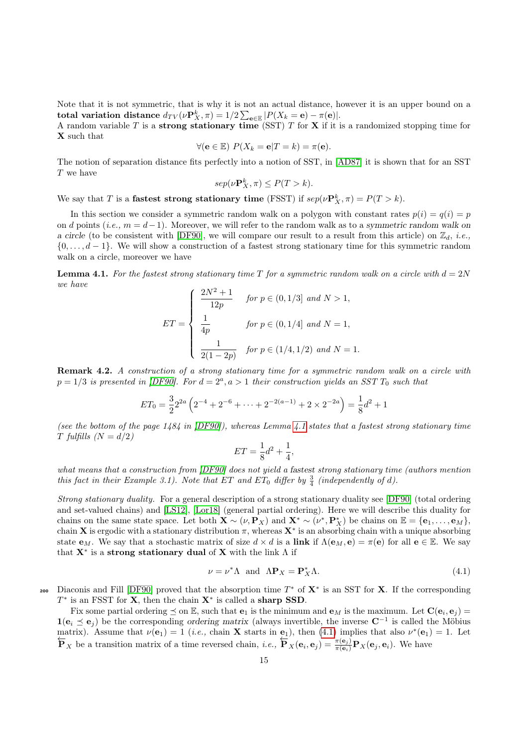Note that it is not symmetric, that is why it is not an actual distance, however it is an upper bound on a total variation distance  $d_{TV}(\nu \mathbf{P}^k_X, \pi) = 1/2 \sum_{\mathbf{e} \in \mathbb{E}} |P(X_k = \mathbf{e}) - \pi(\mathbf{e})|.$ 

A random variable T is a **strong stationary time** (SST) T for **X** if it is a randomized stopping time for X such that

$$
\forall (\mathbf{e} \in \mathbb{E}) \ P(X_k = \mathbf{e} | T = k) = \pi(\mathbf{e}).
$$

The notion of separation distance fits perfectly into a notion of SST, in [\[AD87\]](#page-30-11) it is shown that for an SST  ${\cal T}$  we have

$$
sep(\nu \mathbf{P}_X^k, \pi) \le P(T > k).
$$

We say that T is a **fastest strong stationary time** (FSST) if  $\text{sep}(\nu \mathbf{P}_X^k, \pi) = P(T > k)$ .

In this section we consider a symmetric random walk on a polygon with constant rates  $p(i) = q(i) = p$ on d points (i.e.,  $m = d-1$ ). Moreover, we will refer to the random walk as to a symmetric random walk on a circle (to be consistent with [\[DF90\]](#page-30-12), we will compare our result to a result from this article) on  $\mathbb{Z}_d$ , *i.e.*,  $\{0, \ldots, d-1\}$ . We will show a construction of a fastest strong stationary time for this symmetric random walk on a circle, moreover we have

<span id="page-14-0"></span>**Lemma 4.1.** For the fastest strong stationary time T for a symmetric random walk on a circle with  $d = 2N$ we have

$$
ET = \begin{cases} \frac{2N^2 + 1}{12p} & \text{for } p \in (0, 1/3] \text{ and } N > 1, \\ \frac{1}{4p} & \text{for } p \in (0, 1/4] \text{ and } N = 1, \\ \frac{1}{2(1 - 2p)} & \text{for } p \in (1/4, 1/2) \text{ and } N = 1. \end{cases}
$$

Remark 4.2. A construction of a strong stationary time for a symmetric random walk on a circle with  $p = 1/3$  is presented in [\[DF90\]](#page-30-12). For  $d = 2<sup>a</sup>$ ,  $a > 1$  their construction yields an SST  $T_0$  such that

$$
ET_0 = \frac{3}{2}2^{2a} \left( 2^{-4} + 2^{-6} + \dots + 2^{-2(a-1)} + 2 \times 2^{-2a} \right) = \frac{1}{8}d^2 + 1
$$

(see the bottom of the page  $1484$  in [\[DF90\]](#page-30-12)), whereas Lemma [4.1](#page-14-0) states that a fastest strong stationary time T fulfills  $(N = d/2)$ 

$$
ET = \frac{1}{8}d^2 + \frac{1}{4},
$$

what means that a construction from [\[DF90\]](#page-30-12) does not yield a fastest strong stationary time (authors mention this fact in their Example 3.1). Note that ET and ET<sub>0</sub> differ by  $\frac{3}{4}$  (independently of d).

Strong stationary duality. For a general description of a strong stationary duality see [\[DF90\]](#page-30-12) (total ordering and set-valued chains) and [\[LS12\]](#page-30-13), [\[Lor18\]](#page-30-14) (general partial ordering). Here we will describe this duality for chains on the same state space. Let both  $\mathbf{X} \sim (\nu, \mathbf{P}_X)$  and  $\mathbf{X}^* \sim (\nu^*, \mathbf{P}_X^*)$  be chains on  $\mathbb{E} = {\mathbf{e}_1, \dots, \mathbf{e}_M}$ , chain **X** is ergodic with a stationary distribution  $\pi$ , whereas  $X^*$  is an absorbing chain with a unique absorbing state  $\mathbf{e}_M$ . We say that a stochastic matrix of size  $d \times d$  is a link if  $\Lambda(\mathbf{e}_M, \mathbf{e}) = \pi(\mathbf{e})$  for all  $\mathbf{e} \in \mathbb{E}$ . We say that  $X^*$  is a strong stationary dual of X with the link  $\Lambda$  if

<span id="page-14-1"></span>
$$
\nu = \nu^* \Lambda \quad \text{and} \quad \Lambda \mathbf{P}_X = \mathbf{P}_X^* \Lambda. \tag{4.1}
$$

200 Diaconis and Fill [\[DF90\]](#page-30-12) proved that the absorption time  $T^*$  of  $X^*$  is an SST for X. If the corresponding  $T^*$  is an FSST for **X**, then the chain  $X^*$  is called a sharp SSD.

Fix some partial ordering  $\leq$  on  $\mathbb{E}$ , such that  $\mathbf{e}_1$  is the minimum and  $\mathbf{e}_M$  is the maximum. Let  $\mathbf{C}(\mathbf{e}_i, \mathbf{e}_j)$  $1(e_i \leq e_j)$  be the corresponding ordering matrix (always invertible, the inverse  $C^{-1}$  is called the Möbius matrix). Assume that  $\nu(\mathbf{e}_1) = 1$  (*i.e.*, chain **X** starts in  $\mathbf{e}_1$ ), then [\(4.1\)](#page-14-1) implies that also  $\nu^*(\mathbf{e}_1) = 1$ . Let  $\overrightarrow{\mathbf{P}}_X$  be a transition matrix of a time reversed chain, *i.e.*,  $\overrightarrow{\mathbf{P}}_X(\mathbf{e}_i, \mathbf{e}_j) = \frac{\pi(\mathbf{e}_j)}{\pi(\mathbf{e}_i)} \mathbf{P}_X(\mathbf{e}_j, \mathbf{e}_i)$ . We have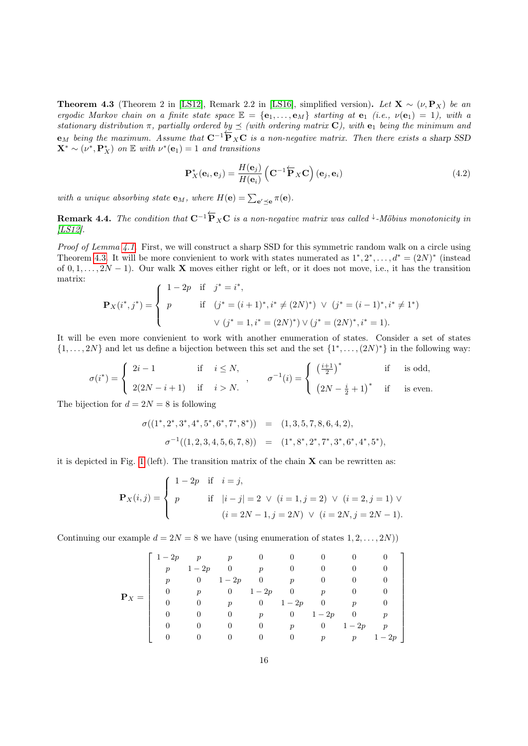<span id="page-15-0"></span>**Theorem 4.3** (Theorem 2 in [\[LS12\]](#page-30-13), Remark 2.2 in [\[LS16\]](#page-30-15), simplified version). Let  $X \sim (\nu, P_X)$  be an ergodic Markov chain on a finite state space  $\mathbb{E} = {\mathbf{e}_1, \ldots, \mathbf{e}_M}$  starting at  $\mathbf{e}_1$  (i.e.,  $\nu(\mathbf{e}_1) = 1$ ), with a stationary distribution  $\pi$ , partially ordered by  $\preceq$  (with ordering matrix **C**), with **e**<sub>1</sub> being the minimum and emetrical generation of paramity ordered  $\frac{\partial g}{\partial s}$  = (differential clustering matrix. Then there exists a sharp SSD)  $\mathbf{X}^* \sim (\nu^*, \mathbf{P}_X^*)$  on  $\mathbb E$  with  $\nu^*(\mathbf{e}_1) = 1$  and transitions

<span id="page-15-1"></span>
$$
\mathbf{P}_{X}^{*}(\mathbf{e}_{i}, \mathbf{e}_{j}) = \frac{H(\mathbf{e}_{j})}{H(\mathbf{e}_{i})} \left( \mathbf{C}^{-1} \overleftarrow{\mathbf{P}}_{X} \mathbf{C} \right) (\mathbf{e}_{j}, \mathbf{e}_{i}) \tag{4.2}
$$

with a unique absorbing state  $\mathbf{e}_M$ , where  $H(\mathbf{e}) = \sum_{\mathbf{e}' \preceq \mathbf{e}} \pi(\mathbf{e})$ .

**Remark 4.4.** The condition that  $C^{-1}\overleftarrow{P}_X C$  is a non-negative matrix was called <sup> $\downarrow$ </sup>-Möbius monotonicity in [\[LS12\]](#page-30-13).

Proof of Lemma [4.1.](#page-14-0) First, we will construct a sharp SSD for this symmetric random walk on a circle using Theorem [4.3.](#page-15-0) It will be more convienient to work with states numerated as  $1^*, 2^*, \ldots, d^* = (2N)^*$  (instead of  $0, 1, \ldots, 2N - 1$ . Our walk X moves either right or left, or it does not move, i.e., it has the transition matrix:  $\sim$   $\sim$   $\sim$ ∗

$$
\mathbf{P}_X(i^*, j^*) = \begin{cases} 1 - 2p & \text{if } j^* = i^*, \\ p & \text{if } (j^* = (i+1)^*, i^* \neq (2N)^*) \lor (j^* = (i-1)^*, i^* \neq 1^*) \\ & \lor (j^* = 1, i^* = (2N)^*) \lor (j^* = (2N)^*, i^* = 1). \end{cases}
$$

It will be even more convienient to work with another enumeration of states. Consider a set of states  $\{1, \ldots, 2N\}$  and let us define a bijection between this set and the set  $\{1^*, \ldots, (2N)^*\}$  in the following way:

$$
\sigma(i^*) = \begin{cases}\n2i - 1 & \text{if } i \leq N, \\
2(2N - i + 1) & \text{if } i > N.\n\end{cases}, \quad \sigma^{-1}(i) = \begin{cases}\n\left(\frac{i+1}{2}\right)^* & \text{if } i \text{ is odd,} \\
(2N - \frac{i}{2} + 1)^* & \text{if } i \text{ is even.}\n\end{cases}
$$

The bijection for  $d = 2N = 8$  is following

$$
\sigma((1^*, 2^*, 3^*, 4^*, 5^*, 6^*, 7^*, 8^*)) = (1, 3, 5, 7, 8, 6, 4, 2),
$$
  

$$
\sigma^{-1}((1, 2, 3, 4, 5, 6, 7, 8)) = (1^*, 8^*, 2^*, 7^*, 3^*, 6^*, 4^*, 5^*),
$$

it is depicted in Fig. [1](#page-18-0) (left). The transition matrix of the chain  $X$  can be rewritten as:

$$
\mathbf{P}_X(i,j) = \begin{cases} 1 - 2p & \text{if } i = j, \\ p & \text{if } |i - j| = 2 \lor (i = 1, j = 2) \lor (i = 2, j = 1) \lor \\ & (i = 2N - 1, j = 2N) \lor (i = 2N, j = 2N - 1). \end{cases}
$$

Continuing our example  $d = 2N = 8$  we have (using enumeration of states  $1, 2, \ldots, 2N$ ))

$$
\mathbf{P}_X = \left[ \begin{array}{cccccccc} 1-2p & p & p & 0 & 0 & 0 & 0 & 0 & 0 \\ p & 1-2p & 0 & p & 0 & 0 & 0 & 0 & 0 \\ p & 0 & 1-2p & 0 & p & 0 & 0 & 0 & 0 \\ 0 & p & 0 & 1-2p & 0 & p & 0 & 0 & 0 \\ 0 & 0 & p & 0 & 1-2p & 0 & p & 0 & 0 \\ 0 & 0 & 0 & p & 0 & 1-2p & 0 & p & 0 \\ 0 & 0 & 0 & 0 & p & 0 & 1-2p & p & 0 \\ 0 & 0 & 0 & 0 & 0 & p & p & 1-2p & p \end{array} \right]
$$

1  $\overline{\phantom{a}}$  $\overline{1}$  $\overline{1}$  $\overline{1}$  $\overline{1}$  $\overline{1}$  $\overline{1}$  $\overline{1}$  $\overline{1}$  $\overline{1}$  $\overline{1}$  $\overline{1}$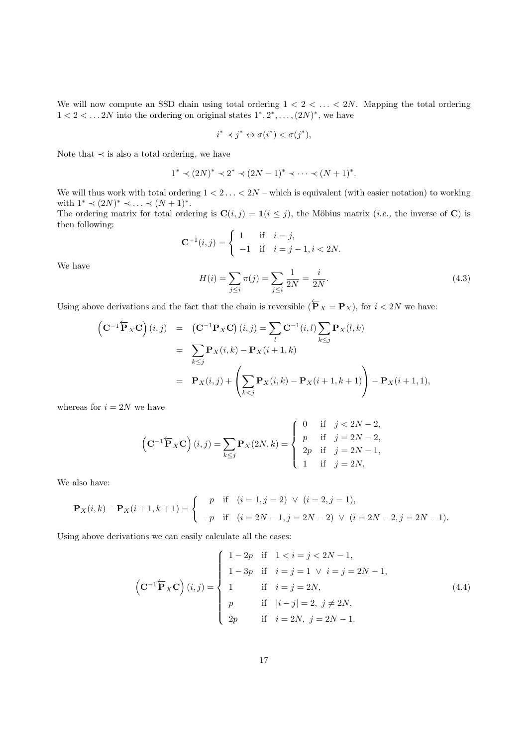We will now compute an SSD chain using total ordering  $1 < 2 < \ldots < 2N$ . Mapping the total ordering  $1 < 2 < \dots 2N$  into the ordering on original states  $1^*, 2^*, \dots, (2N)^*$ , we have

$$
i^* \prec j^* \Leftrightarrow \sigma(i^*) < \sigma(j^*),
$$

Note that  $\prec$  is also a total ordering, we have

$$
1^* \prec (2N)^* \prec 2^* \prec (2N-1)^* \prec \cdots \prec (N+1)^*.
$$

We will thus work with total ordering  $1 < 2 \ldots < 2N$  – which is equivalent (with easier notation) to working with  $1^* \prec (2N)^* \prec \ldots \prec (N+1)^*$ .

The ordering matrix for total ordering is  $\mathbf{C}(i, j) = \mathbf{1}(i \leq j)$ , the Möbius matrix (*i.e.*, the inverse of C) is then following:

$$
\mathbf{C}^{-1}(i,j) = \begin{cases} 1 & \text{if } i = j, \\ -1 & \text{if } i = j - 1, i < 2N. \end{cases}
$$

<span id="page-16-1"></span>We have

$$
H(i) = \sum_{j \le i} \pi(j) = \sum_{j \le i} \frac{1}{2N} = \frac{i}{2N}.
$$
\n(4.3)

Using above derivations and the fact that the chain is reversible  $(\overleftarrow{P}_X - P_X)$ , for  $i < 2N$  we have:

$$
\left(\mathbf{C}^{-1}\overleftarrow{\mathbf{P}}_{X}\mathbf{C}\right)(i,j) = \left(\mathbf{C}^{-1}\mathbf{P}_{X}\mathbf{C}\right)(i,j) = \sum_{l} \mathbf{C}^{-1}(i,l) \sum_{k \leq j} \mathbf{P}_{X}(l,k)
$$
  
\n
$$
= \sum_{k \leq j} \mathbf{P}_{X}(i,k) - \mathbf{P}_{X}(i+1,k)
$$
  
\n
$$
= \mathbf{P}_{X}(i,j) + \left(\sum_{k < j} \mathbf{P}_{X}(i,k) - \mathbf{P}_{X}(i+1,k+1)\right) - \mathbf{P}_{X}(i+1,1),
$$

whereas for  $i = 2N$  we have

$$
\left(\mathbf{C}^{-1}\overleftarrow{\mathbf{P}}_{X}\mathbf{C}\right)(i,j) = \sum_{k \leq j} \mathbf{P}_{X}(2N,k) = \begin{cases} 0 & \text{if } j < 2N - 2, \\ p & \text{if } j = 2N - 2, \\ 2p & \text{if } j = 2N - 1, \\ 1 & \text{if } j = 2N, \end{cases}
$$

We also have:

$$
\mathbf{P}_X(i,k) - \mathbf{P}_X(i+1,k+1) = \begin{cases} p & \text{if } (i=1,j=2) \lor (i=2,j=1), \\ -p & \text{if } (i=2N-1,j=2N-2) \lor (i=2N-2,j=2N-1). \end{cases}
$$

<span id="page-16-0"></span>Using above derivations we can easily calculate all the cases:

$$
\left(\mathbf{C}^{-1}\overleftarrow{\mathbf{P}}_{X}\mathbf{C}\right)(i,j) = \begin{cases} 1-2p & \text{if } 1 < i = j < 2N-1, \\ 1-3p & \text{if } i = j = 1 \ \lor i = j = 2N-1, \\ 1 & \text{if } i = j = 2N, \\ p & \text{if } |i - j| = 2, j \neq 2N, \\ 2p & \text{if } i = 2N, j = 2N-1. \end{cases}
$$
(4.4)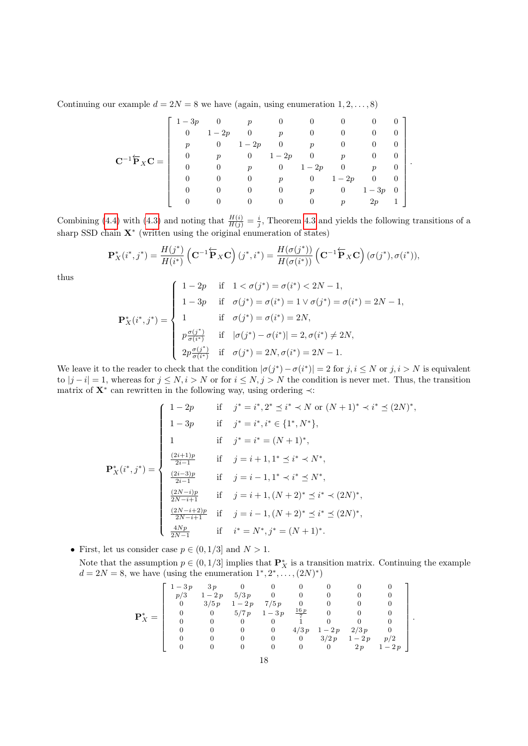Continuing our example  $d = 2N = 8$  we have (again, using enumeration  $1, 2, \ldots, 8$ )

$$
\mathbf{C}^{-1}\overleftarrow{\mathbf{P}}_{X}\mathbf{C} = \left[\begin{array}{ccccc} 1-3p & 0 & p & 0 & 0 & 0 & 0 & 0 & 0\\ 0 & 1-2p & 0 & p & 0 & 0 & 0 & 0\\ p & 0 & 1-2p & 0 & p & 0 & 0 & 0\\ 0 & p & 0 & 1-2p & 0 & p & 0 & 0\\ 0 & 0 & p & 0 & 1-2p & 0 & p & 0\\ 0 & 0 & 0 & p & 0 & 1-2p & 0 & 0\\ 0 & 0 & 0 & 0 & p & 0 & 1-3p & 0\\ 0 & 0 & 0 & 0 & 0 & p & 2p & 1 \end{array}\right]
$$

.

Combining [\(4.4\)](#page-16-0) with [\(4.3\)](#page-16-1) and noting that  $\frac{H(i)}{H(j)} = \frac{i}{j}$ , Theorem [4.3](#page-15-0) and yields the following transitions of a sharp SSD chain  $X^*$  (written using the original enumeration of states)

$$
\mathbf{P}_X^*(i^*,j^*) = \frac{H(j^*)}{H(i^*)} \left( \mathbf{C}^{-1} \overleftarrow{\mathbf{P}}_X \mathbf{C} \right) (j^*,i^*) = \frac{H(\sigma(j^*))}{H(\sigma(i^*))} \left( \mathbf{C}^{-1} \overleftarrow{\mathbf{P}}_X \mathbf{C} \right) (\sigma(j^*),\sigma(i^*)),
$$

thus

$$
\mathbf{P}_{X}^{*}(i^{*}, j^{*}) = \begin{cases} 1 - 2p & \text{if } 1 < \sigma(j^{*}) = \sigma(i^{*}) < 2N - 1, \\ 1 - 3p & \text{if } \sigma(j^{*}) = \sigma(i^{*}) = 1 \lor \sigma(j^{*}) = \sigma(i^{*}) = 2N - 1, \\ 1 & \text{if } \sigma(j^{*}) = \sigma(i^{*}) = 2N, \\ p\frac{\sigma(j^{*})}{\sigma(i^{*})} & \text{if } |\sigma(j^{*}) - \sigma(i^{*})| = 2, \sigma(i^{*}) \neq 2N, \\ 2p\frac{\sigma(j^{*})}{\sigma(i^{*})} & \text{if } \sigma(j^{*}) = 2N, \sigma(i^{*}) = 2N - 1. \end{cases}
$$

We leave it to the reader to check that the condition  $|\sigma(j^*) - \sigma(i^*)| = 2$  for  $j, i \leq N$  or  $j, i > N$  is equivalent to  $|j - i| = 1$ , whereas for  $j \le N$ ,  $i > N$  or for  $i \le N$ ,  $j > N$  the condition is never met. Thus, the transition matrix of  $X^*$  can rewritten in the following way, using ordering  $\prec$ :

$$
\mathbf{P}_{X}^{*}(i^{*}, j^{*}) = \begin{cases} 1 - 2p & \text{if } j^{*} = i^{*}, 2^{*} \preceq i^{*} \prec N \text{ or } (N+1)^{*} \prec i^{*} \preceq (2N)^{*}, \\ 1 - 3p & \text{if } j^{*} = i^{*}, i^{*} \in \{1^{*}, N^{*}\}, \\ 1 & \text{if } j^{*} = i^{*} = (N+1)^{*}, \\ \frac{(2i+1)p}{2i-1} & \text{if } j = i+1, 1^{*} \preceq i^{*} \prec N^{*}, \\ \frac{(2i-3)p}{2i-1} & \text{if } j = i-1, 1^{*} \prec i^{*} \preceq N^{*}, \\ \frac{(2N-i)p}{2N-i+1} & \text{if } j = i+1, (N+2)^{*} \preceq i^{*} \prec (2N)^{*}, \\ \frac{(2N-i+2)p}{2N-i+1} & \text{if } j = i-1, (N+2)^{*} \preceq i^{*} \preceq (2N)^{*}, \\ \frac{4Np}{2N-1} & \text{if } i^{*} = N^{*}, j^{*} = (N+1)^{*}. \end{cases}
$$

• First, let us consider case  $p \in (0, 1/3]$  and  $N > 1$ .

Note that the assumption  $p \in (0, 1/3]$  implies that  $\mathbf{P}_X^*$  is a transition matrix. Continuing the example  $d = 2N = 8$ , we have (using the enumeration  $1^*, 2^*, \ldots, (2N)^*$ )

$$
\mathbf{P}_X^* = \left[\begin{array}{rrrrrrrr} 1-3p & 3p & 0 & 0 & 0 & 0 & 0 & 0 & 0\\ p/3 & 1-2p & 5/3p & 0 & 0 & 0 & 0 & 0 & 0\\ 0 & 3/5p & 1-2p & 7/5p & 0 & 0 & 0 & 0 & 0\\ 0 & 0 & 5/7p & 1-3p & \frac{16p}{7} & 0 & 0 & 0 & 0\\ 0 & 0 & 0 & 0 & 1 & 0 & 0 & 0 & 0\\ 0 & 0 & 0 & 0 & 4/3p & 1-2p & 2/3p & 0\\ 0 & 0 & 0 & 0 & 0 & 3/2p & 1-2p & p/2\\ 0 & 0 & 0 & 0 & 0 & 0 & 2p & 1-2p \end{array}\right].
$$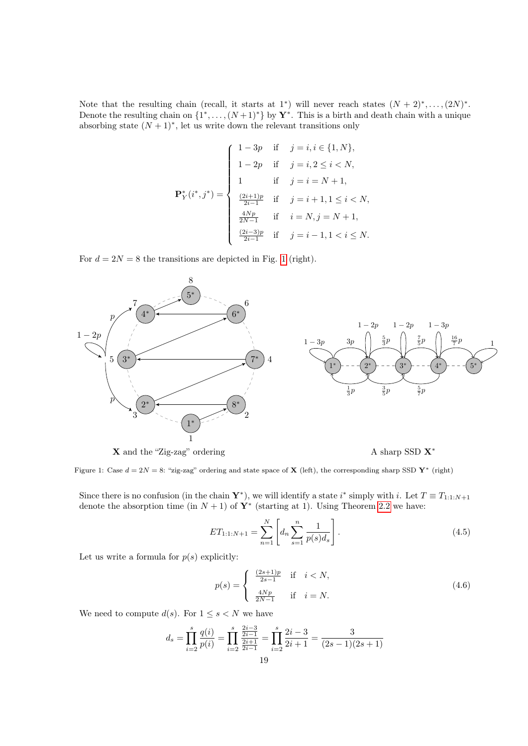Note that the resulting chain (recall, it starts at 1<sup>\*</sup>) will never reach states  $(N + 2)^*, \ldots, (2N)^*$ . Denote the resulting chain on  $\{1^*, \ldots, (N+1)^*\}$  by  $\mathbf{Y}^*$ . This is a birth and death chain with a unique absorbing state  $(N + 1)^*$ , let us write down the relevant transitions only

$$
\mathbf{P}_{Y}^{*}(i^{*}, j^{*}) = \begin{cases} 1 - 3p & \text{if } j = i, i \in \{1, N\}, \\ 1 - 2p & \text{if } j = i, 2 \leq i < N, \\ 1 & \text{if } j = i = N + 1, \\ \frac{(2i+1)p}{2i-1} & \text{if } j = i + 1, 1 \leq i < N, \\ \frac{4Np}{2N-1} & \text{if } i = N, j = N + 1, \\ \frac{(2i-3)p}{2i-1} & \text{if } j = i - 1, 1 < i \leq N. \end{cases}
$$

For  $d = 2N = 8$  the transitions are depicted in Fig. [1](#page-18-0) (right).

<span id="page-18-0"></span>

 $\boldsymbol{\mathrm{X}}$  and the "Zig-zag" ordering  $\boldsymbol{\mathrm{A}}$  sharp SSD  $\boldsymbol{\mathrm{X}}^*$ 

<span id="page-18-1"></span>

Figure 1: Case  $d = 2N = 8$ : "zig-zag" ordering and state space of **X** (left), the corresponding sharp SSD **Y**<sup>\*</sup> (right)

Since there is no confusion (in the chain  $\mathbf{Y}^*$ ), we will identify a state i<sup>\*</sup> simply with i. Let  $T \equiv T_{1:1:N+1}$ denote the absorption time (in  $N + 1$ ) of  $\mathbf{Y}^*$  (starting at 1). Using Theorem [2.2](#page-2-2) we have:

$$
ET_{1:1:N+1} = \sum_{n=1}^{N} \left[ d_n \sum_{s=1}^{n} \frac{1}{p(s) d_s} \right].
$$
 (4.5)

Let us write a formula for  $p(s)$  explicitly:

<span id="page-18-2"></span>
$$
p(s) = \begin{cases} \frac{(2s+1)p}{2s-1} & \text{if } i < N, \\ \frac{4Np}{2N-1} & \text{if } i = N. \end{cases}
$$
 (4.6)

We need to compute  $d(s)$ . For  $1 \leq s < N$  we have

$$
d_s = \prod_{i=2}^s \frac{q(i)}{p(i)} = \prod_{i=2}^s \frac{\frac{2i-3}{2i-1}}{\frac{2i+1}{2i-1}} = \prod_{i=2}^s \frac{2i-3}{2i+1} = \frac{3}{(2s-1)(2s+1)}
$$
  
19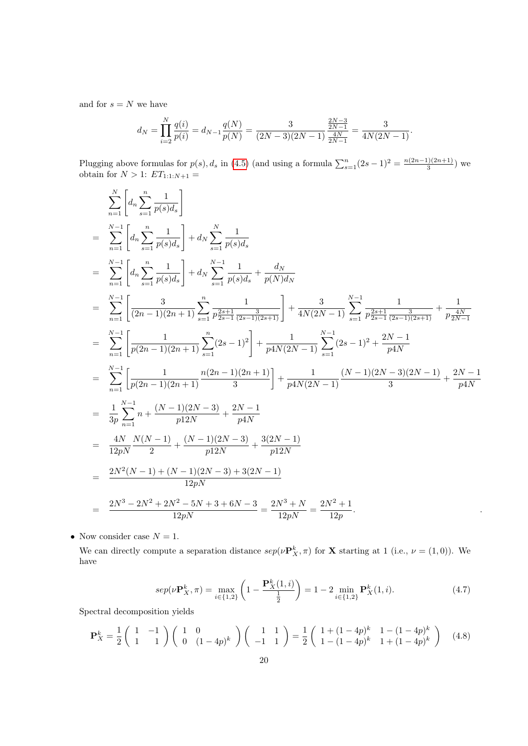and for  $s = N$  we have

$$
d_N = \prod_{i=2}^N \frac{q(i)}{p(i)} = d_{N-1} \frac{q(N)}{p(N)} = \frac{3}{(2N-3)(2N-1)} \frac{\frac{2N-3}{2N-1}}{\frac{4N}{2N-1}} = \frac{3}{4N(2N-1)}.
$$

Plugging above formulas for  $p(s)$ ,  $d_s$  in [\(4.5\)](#page-18-1) (and using a formula  $\sum_{s=1}^{n} (2s-1)^2 = \frac{n(2n-1)(2n+1)}{3}$  $\frac{1(2n+1)}{3}$  we obtain for  $N > 1$ :  $ET_{1:1:N+1} =$ 

$$
\sum_{n=1}^{N} \left[ d_n \sum_{s=1}^{n} \frac{1}{p(s) d_s} \right]
$$
\n
$$
= \sum_{n=1}^{N-1} \left[ d_n \sum_{s=1}^{n} \frac{1}{p(s) d_s} \right] + d_N \sum_{s=1}^{N} \frac{1}{p(s) d_s}
$$
\n
$$
= \sum_{n=1}^{N-1} \left[ d_n \sum_{s=1}^{n} \frac{1}{p(s) d_s} \right] + d_N \sum_{s=1}^{N} \frac{1}{p(s) d_s} + \frac{d_N}{p(N) d_N}
$$
\n
$$
= \sum_{n=1}^{N-1} \left[ \frac{3}{(2n-1)(2n+1)} \sum_{s=1}^{n} \frac{1}{p \frac{2s+1}{2s-1} \frac{3}{(2s-1)(2s+1)}} \right] + \frac{3}{4N(2N-1)} \sum_{s=1}^{N-1} \frac{1}{p \frac{2s+1}{2s-1} \frac{3}{(2s-1)(2s+1)}} + \frac{1}{p \frac{4N}{2N-1}}
$$
\n
$$
= \sum_{n=1}^{N-1} \left[ \frac{1}{p(2n-1)(2n+1)} \sum_{s=1}^{n} (2s-1)^2 \right] + \frac{1}{p4N(2N-1)} \sum_{s=1}^{N-1} (2s-1)^2 + \frac{2N-1}{p4N}
$$
\n
$$
= \sum_{n=1}^{N-1} \left[ \frac{1}{p(2n-1)(2n+1)} \frac{n(2n-1)(2n+1)}{3} \right] + \frac{1}{p4N(2N-1)} \frac{(N-1)(2N-3)(2N-1)}{3} + \frac{2N-1}{p4N}
$$
\n
$$
= \frac{1}{3p} \sum_{n=1}^{N-1} n + \frac{(N-1)(2N-3)}{p12N} + \frac{2N-1}{p4N}
$$
\n
$$
= \frac{4N}{12pN} \frac{N(N-1)}{2} + \frac{(N-1)(2N-3) + 3(2N-1)}{p12N}
$$
\n
$$
= \frac{2N^2(N-1) + (N-1)(2N-3) + 3(2N-1)}{12pN}
$$

• Now consider case  $N = 1$ .

We can directly compute a separation distance  $sep(\nu \mathbf{P}_X^k, \pi)$  for **X** starting at 1 (i.e.,  $\nu = (1, 0)$ ). We have

$$
sep(\nu \mathbf{P}_X^k, \pi) = \max_{i \in \{1, 2\}} \left( 1 - \frac{\mathbf{P}_X^k(1, i)}{\frac{1}{2}} \right) = 1 - 2 \min_{i \in \{1, 2\}} \mathbf{P}_X^k(1, i). \tag{4.7}
$$

Spectral decomposition yields

$$
\mathbf{P}_X^k = \frac{1}{2} \begin{pmatrix} 1 & -1 \\ 1 & 1 \end{pmatrix} \begin{pmatrix} 1 & 0 \\ 0 & (1-4p)^k \end{pmatrix} \begin{pmatrix} 1 & 1 \\ -1 & 1 \end{pmatrix} = \frac{1}{2} \begin{pmatrix} 1 + (1-4p)^k & 1 - (1-4p)^k \\ 1 - (1-4p)^k & 1 + (1-4p)^k \end{pmatrix}
$$
(4.8)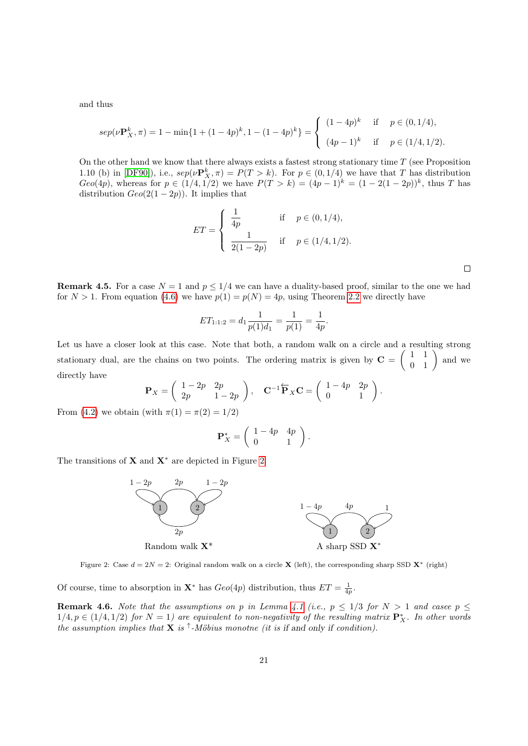and thus

$$
sep(\nu \mathbf{P}_X^k, \pi) = 1 - \min\{1 + (1 - 4p)^k, 1 - (1 - 4p)^k\} = \begin{cases} (1 - 4p)^k & \text{if } p \in (0, 1/4), \\ (4p - 1)^k & \text{if } p \in (1/4, 1/2). \end{cases}
$$

On the other hand we know that there always exists a fastest strong stationary time  $T$  (see Proposition 1.10 (b) in [\[DF90\]](#page-30-12)), i.e.,  $\text{sep}(\nu \mathbf{P}_X^k, \pi) = P(T > k)$ . For  $p \in (0, 1/4)$  we have that T has distribution  $Geo(4p)$ , whereas for  $p \in (1/4, 1/2)$  we have  $P(T > k) = (4p - 1)^k = (1 - 2(1 - 2p))^k$ , thus T has distribution  $Geo(2(1-2p))$ . It implies that

$$
ET = \begin{cases} \frac{1}{4p} & \text{if } p \in (0, 1/4), \\ \frac{1}{2(1-2p)} & \text{if } p \in (1/4, 1/2). \end{cases}
$$

 $\Box$ 

**Remark 4.5.** For a case  $N = 1$  and  $p \le 1/4$  we can have a duality-based proof, similar to the one we had for  $N > 1$ . From equation [\(4.6\)](#page-18-2) we have  $p(1) = p(N) = 4p$ , using Theorem [2.2](#page-2-2) we directly have

$$
ET_{1:1:2} = d_1 \frac{1}{p(1)d_1} = \frac{1}{p(1)} = \frac{1}{4p}.
$$

Let us have a closer look at this case. Note that both, a random walk on a circle and a resulting strong stationary dual, are the chains on two points. The ordering matrix is given by  $C = \begin{pmatrix} 1 & 1 \\ 0 & 1 \end{pmatrix}$  and we directly have

$$
\mathbf{P}_X = \begin{pmatrix} 1 - 2p & 2p \\ 2p & 1 - 2p \end{pmatrix}, \quad \mathbf{C}^{-1} \overleftarrow{\mathbf{P}}_X \mathbf{C} = \begin{pmatrix} 1 - 4p & 2p \\ 0 & 1 \end{pmatrix}.
$$

From [\(4.2\)](#page-15-1) we obtain (with  $\pi(1) = \pi(2) = 1/2$ )

$$
\mathbf{P}_X^* = \left( \begin{array}{cc} 1 - 4p & 4p \\ 0 & 1 \end{array} \right).
$$

<span id="page-20-0"></span>The transitions of  $X$  and  $X^*$  are depicted in Figure [2.](#page-20-0)



Figure 2: Case  $d = 2N = 2$ : Original random walk on a circle **X** (left), the corresponding sharp SSD **X**<sup>\*</sup> (right)

Of course, time to absorption in  $\mathbf{X}^*$  has  $Geo(4p)$  distribution, thus  $ET = \frac{1}{4p}$ .

**Remark 4.6.** Note that the assumptions on p in Lemma [4.1](#page-14-0) (i.e.,  $p \leq 1/3$  for  $N > 1$  and casee  $p \leq$  $1/4, p \in (1/4, 1/2)$  for  $N = 1$ ) are equivalent to non-negativity of the resulting matrix  $\mathbf{P}_X^*$ . In other words the assumption implies that **X** is  $\uparrow$ -Möbius monotne (it is if and only if condition).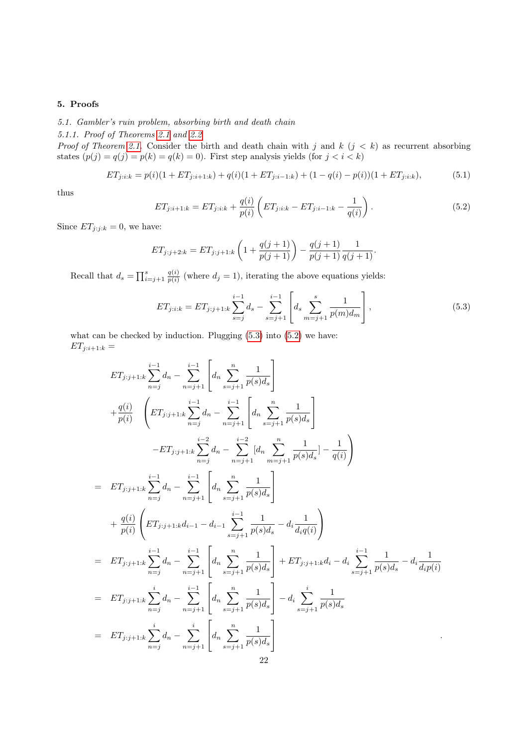# <span id="page-21-0"></span>5. Proofs

5.1. Gambler's ruin problem, absorbing birth and death chain

<span id="page-21-1"></span>5.1.1. Proof of Theorems [2.1](#page-2-0) and [2.2](#page-2-2)

*Proof of Theorem [2.1.](#page-2-0)* Consider the birth and death chain with j and k  $(j < k)$  as recurrent absorbing states  $(p(j) = q(j) = p(k) = q(k) = 0)$ . First step analysis yields (for  $j < i < k$ )

$$
ET_{j:i:k} = p(i)(1 + ET_{j:i+1:k}) + q(i)(1 + ET_{j:i-1:k}) + (1 - q(i) - p(i))(1 + ET_{j:i:k}),
$$
\n(5.1)

<span id="page-21-3"></span>thus

<span id="page-21-4"></span>
$$
ET_{j:i+1:k} = ET_{j:i:k} + \frac{q(i)}{p(i)} \left( ET_{j:i:k} - ET_{j:i-1:k} - \frac{1}{q(i)} \right). \tag{5.2}
$$

Since  $ET_{j:j:k} = 0$ , we have:

$$
ET_{j:j+2:k} = ET_{j:j+1:k} \left( 1 + \frac{q(j+1)}{p(j+1)} \right) - \frac{q(j+1)}{p(j+1)} \frac{1}{q(j+1)}.
$$

Recall that  $d_s = \prod_{i=j+1}^s \frac{q(i)}{p(i)}$  $\frac{q(i)}{p(i)}$  (where  $d_j = 1$ ), iterating the above equations yields:

<span id="page-21-2"></span>
$$
ET_{j:i:k} = ET_{j:j+1:k} \sum_{s=j}^{i-1} d_s - \sum_{s=j+1}^{i-1} \left[ d_s \sum_{m=j+1}^{s} \frac{1}{p(m) d_m} \right],
$$
\n(5.3)

what can be checked by induction. Plugging  $(5.3)$  into  $(5.2)$  we have:  $ET_{j:i+1:k} =$ 

$$
ET_{j:j+1:k} \sum_{n=j}^{i-1} d_n - \sum_{n=j+1}^{i-1} \left[ d_n \sum_{s=j+1}^n \frac{1}{p(s)d_s} \right]
$$
  
+  $\frac{q(i)}{p(i)} \left( ET_{j:j+1:k} \sum_{n=j}^{i-1} d_n - \sum_{n=j+1}^{i-1} \left[ d_n \sum_{s=j+1}^n \frac{1}{p(s)d_s} \right] - ET_{j:j+1:k} \sum_{n=j}^{i-2} d_n - \sum_{n=j+1}^{i-2} \left[ d_n \sum_{s=j+1}^n \frac{1}{p(s)d_s} \right] - ET_{j:j+1:k} \sum_{n=j}^{i-1} d_n - \sum_{n=j+1}^{i-1} \left[ d_n \sum_{s=j+1}^n \frac{1}{p(s)d_s} \right] - \frac{1}{q(i)} \right)$   
=  $ET_{j:j+1:k} \sum_{n=j}^{i-1} d_n - \sum_{n=j+1}^{i-1} \left[ d_n \sum_{s=j+1}^n \frac{1}{p(s)d_s} - d_i \frac{1}{d_i q(i)} \right)$   
=  $ET_{j:j+1:k} \sum_{n=j}^{i-1} d_n - \sum_{n=j+1}^{i-1} \left[ d_n \sum_{s=j+1}^n \frac{1}{p(s)d_s} \right] + ET_{j:j+1:k} d_i - d_i \sum_{s=j+1}^{i-1} \frac{1}{p(s)d_s} - d_i \frac{1}{d_i p(i)}$   
=  $ET_{j:j+1:k} \sum_{n=j}^{i} d_n - \sum_{n=j+1}^{i-1} \left[ d_n \sum_{s=j+1}^n \frac{1}{p(s)d_s} \right] - d_i \sum_{s=j+1}^{i} \frac{1}{p(s)d_s}$   
=  $ET_{j:j+1:k} \sum_{n=j}^{i} d_n - \sum_{n=j+1}^{i} \left[ d_n \sum_{s=j+1}^n \frac{1}{p(s)d_s} \right]$   
22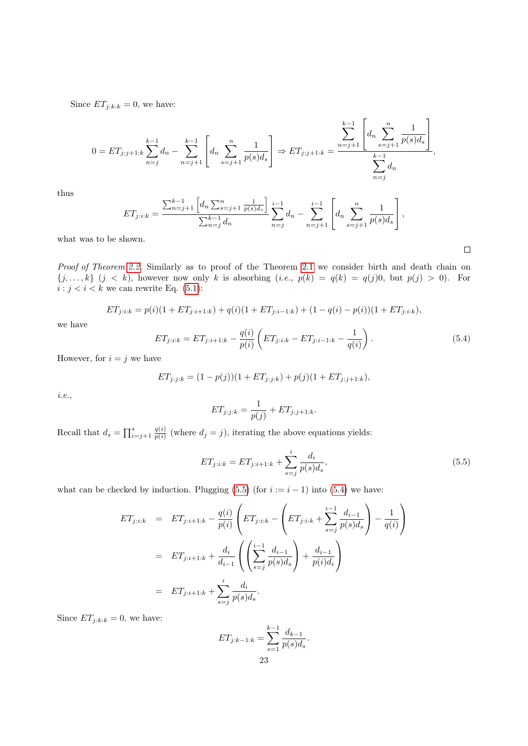Since  $ET_{j:k:k} = 0$ , we have:

$$
0 = ET_{j:j+1:k} \sum_{n=j}^{k-1} d_n - \sum_{n=j+1}^{k-1} \left[ d_n \sum_{s=j+1}^n \frac{1}{p(s) d_s} \right] \Rightarrow ET_{j:j+1:k} = \frac{\sum_{n=j+1}^{k-1} \left[ d_n \sum_{s=j+1}^n \frac{1}{p(s) d_s} \right]}{\sum_{n=j}^{k-1} d_n},
$$

thus

$$
ET_{j:i:k} = \frac{\sum_{n=j+1}^{k-1} \left[ d_n \sum_{s=j+1}^n \frac{1}{p(s) d_s} \right]}{\sum_{n=j}^{k-1} d_n} \sum_{n=j}^{i-1} d_n - \sum_{n=j+1}^{i-1} \left[ d_n \sum_{s=j+1}^n \frac{1}{p(s) d_s} \right],
$$

what was to be shown.

Proof of Theorem [2.2.](#page-2-2) Similarly as to proof of the Theorem [2.1](#page-2-0) we consider birth and death chain on  $\{j,\ldots,k\}$   $(j < k)$ , however now only k is absorbing  $(i.e., p(k) = q(k) = q(j)0$ , but  $p(j) > 0$ ). For  $i : j < i < k$  we can rewrite Eq. [\(5.1\)](#page-21-4):

<span id="page-22-1"></span>
$$
ET_{j:i:k} = p(i)(1 + ET_{j:i+1:k}) + q(i)(1 + ET_{j:i-1:k}) + (1 - q(i) - p(i))(1 + ET_{j:i:k}),
$$

we have

$$
ET_{j:i:k} = ET_{j:i+1:k} - \frac{q(i)}{p(i)} \left( ET_{j:i:k} - ET_{j:i-1:k} - \frac{1}{q(i)} \right). \tag{5.4}
$$

 $\Box$ 

However, for  $i = j$  we have

$$
ET_{j:j:k} = (1 - p(j))(1 + ET_{j:j:k}) + p(j)(1 + ET_{j:j+1:k}),
$$

i.e.,

<span id="page-22-0"></span>
$$
ET_{j:j:k} = \frac{1}{p(j)} + ET_{j:j+1:k}.
$$

Recall that  $d_s = \prod_{i=j+1}^s \frac{q(i)}{p(i)}$  $\frac{q(i)}{p(i)}$  (where  $d_j = j$ ), iterating the above equations yields:

$$
ET_{j:i:k} = ET_{j:i+1:k} + \sum_{s=j}^{i} \frac{d_i}{p(s)d_s},\tag{5.5}
$$

what can be checked by induction. Plugging [\(5.5\)](#page-22-0) (for  $i := i - 1$ ) into [\(5.4\)](#page-22-1) we have:

$$
ET_{j:i:k} = ET_{j:i+1:k} - \frac{q(i)}{p(i)} \left( ET_{j:i:k} - \left( ET_{j:i:k} + \sum_{s=j}^{i-1} \frac{d_{i-1}}{p(s)d_s} \right) - \frac{1}{q(i)} \right)
$$
  

$$
= ET_{j:i+1:k} + \frac{d_i}{d_{i-1}} \left( \left( \sum_{s=j}^{i-1} \frac{d_{i-1}}{p(s)d_s} \right) + \frac{d_{i-1}}{p(i)d_i} \right)
$$
  

$$
= ET_{j:i+1:k} + \sum_{s=j}^{i} \frac{d_i}{p(s)d_s}.
$$

Since  $ET_{j:k:k} = 0$ , we have:

$$
ET_{j:k-1:k} = \sum_{s=1}^{k-1} \frac{d_{k-1}}{p(s)d_s}.
$$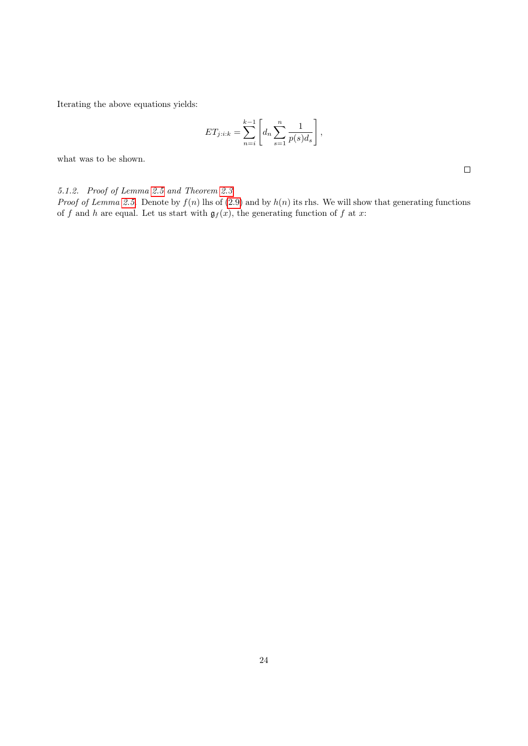Iterating the above equations yields:

$$
ET_{j:i:k} = \sum_{n=i}^{k-1} \left[ d_n \sum_{s=1}^n \frac{1}{p(s)d_s} \right],
$$

what was to be shown.

 $\Box$ 

<span id="page-23-0"></span>5.1.2. Proof of Lemma [2.5](#page-4-1) and Theorem [2.3](#page-3-1)

*Proof of Lemma [2.5.](#page-4-1)* Denote by  $f(n)$  lhs of [\(2.9\)](#page-4-4) and by  $h(n)$  its rhs. We will show that generating functions of f and h are equal. Let us start with  $\mathfrak{g}_f(x)$ , the generating function of f at x: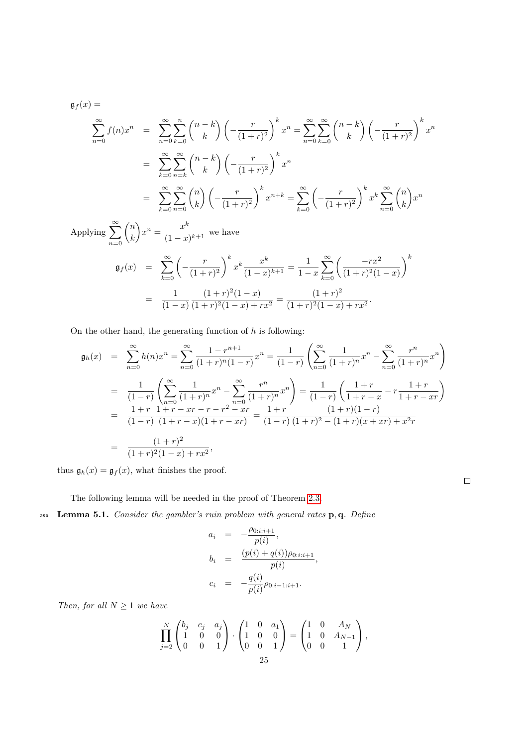$$
\mathfrak{g}_f(x) =
$$
\n
$$
\sum_{n=0}^{\infty} f(n)x^n = \sum_{n=0}^{\infty} \sum_{k=0}^n {n-k \choose k} \left(-\frac{r}{(1+r)^2}\right)^k x^n = \sum_{n=0}^{\infty} \sum_{k=0}^{\infty} {n-k \choose k} \left(-\frac{r}{(1+r)^2}\right)^k x^n
$$
\n
$$
= \sum_{k=0}^{\infty} \sum_{n=k}^{\infty} {n-k \choose k} \left(-\frac{r}{(1+r)^2}\right)^k x^n
$$
\n
$$
= \sum_{k=0}^{\infty} \sum_{n=0}^{\infty} {n \choose k} \left(-\frac{r}{(1+r)^2}\right)^k x^{n+k} = \sum_{k=0}^{\infty} \left(-\frac{r}{(1+r)^2}\right)^k x^k \sum_{n=0}^{\infty} {n \choose k} x^n
$$
\n
$$
= \sum_{k=0}^{\infty} {n \choose k} x^k
$$

Applying  $\sum_{n=1}^{\infty}$  $n=0$  $\sqrt{n}$ k  $x^n = \frac{x^k}{a^n}$  $\frac{x}{(1-x)^{k+1}}$  we have

$$
\mathfrak{g}_f(x) = \sum_{k=0}^{\infty} \left( -\frac{r}{(1+r)^2} \right)^k x^k \frac{x^k}{(1-x)^{k+1}} = \frac{1}{1-x} \sum_{k=0}^{\infty} \left( \frac{-rx^2}{(1+r)^2(1-x)} \right)^k
$$

$$
= \frac{1}{(1-x)} \frac{(1+r)^2(1-x)}{(1+r)^2(1-x) + rx^2} = \frac{(1+r)^2}{(1+r)^2(1-x) + rx^2}.
$$

On the other hand, the generating function of  $h$  is following:

$$
\mathfrak{g}_h(x) = \sum_{n=0}^{\infty} h(n)x^n = \sum_{n=0}^{\infty} \frac{1 - r^{n+1}}{(1+r)^n (1-r)} x^n = \frac{1}{(1-r)} \left( \sum_{n=0}^{\infty} \frac{1}{(1+r)^n} x^n - \sum_{n=0}^{\infty} \frac{r^n}{(1+r)^n} x^n \right)
$$

$$
= \frac{1}{(1-r)} \left( \sum_{n=0}^{\infty} \frac{1}{(1+r)^n} x^n - \sum_{n=0}^{\infty} \frac{r^n}{(1+r)^n} x^n \right) = \frac{1}{(1-r)} \left( \frac{1+r}{1+r-x} - \frac{1+r}{1+r-xr} \right)
$$

$$
= \frac{1+r}{(1-r)} \frac{1+r - xr - r - r^2 - xr}{(1+r)(1+r-xr)} = \frac{1+r}{(1-r)} \frac{(1+r)(1-r)}{(1+r)^2 - (1+r)(x+xr) + x^2r}
$$

$$
= \frac{(1+r)^2}{(1+r)^2 (1-x) + rx^2},
$$

thus  $\mathfrak{g}_h(x) = \mathfrak{g}_f(x)$ , what finishes the proof.

 $\Box$ 

<span id="page-24-0"></span>The following lemma will be needed in the proof of Theorem [2.3.](#page-3-1)

 $250$  Lemma 5.1. Consider the gambler's ruin problem with general rates p, q. Define

$$
a_i = -\frac{\rho_{0:i:i+1}}{p(i)},
$$
  
\n
$$
b_i = \frac{(p(i) + q(i))\rho_{0:i:i+1}}{p(i)},
$$
  
\n
$$
c_i = -\frac{q(i)}{p(i)}\rho_{0:i-1:i+1}.
$$

Then, for all  $N \geq 1$  we have

$$
\prod_{j=2}^{N} \begin{pmatrix} b_j & c_j & a_j \ 1 & 0 & 0 \ 0 & 0 & 1 \end{pmatrix} \cdot \begin{pmatrix} 1 & 0 & a_1 \ 1 & 0 & 0 \ 0 & 0 & 1 \end{pmatrix} = \begin{pmatrix} 1 & 0 & A_N \ 1 & 0 & A_{N-1} \ 0 & 0 & 1 \end{pmatrix},
$$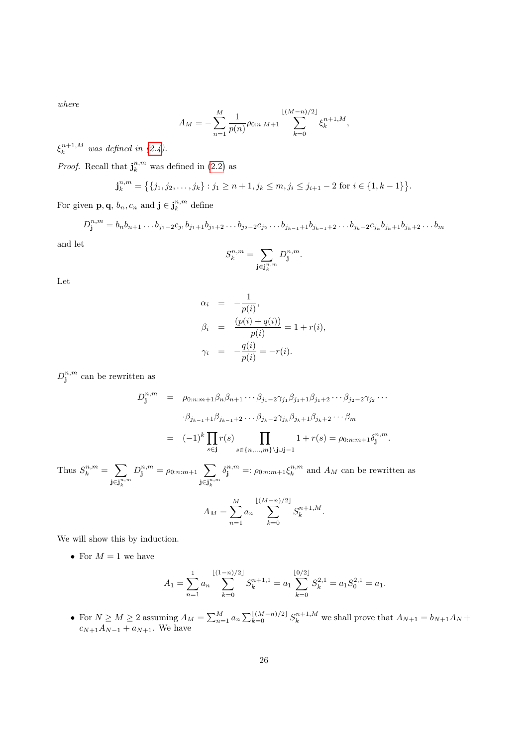where

$$
A_M = -\sum_{n=1}^M \frac{1}{p(n)} \rho_{0:n:M+1} \sum_{k=0}^{\lfloor (M-n)/2 \rfloor} \xi_k^{n+1,M},
$$

 $\xi_k^{n+1,M}$  was defined in [\(2.4\)](#page-3-5).

*Proof.* Recall that  $\mathbf{j}_{k}^{n,m}$  was defined in [\(2.2\)](#page-3-6) as

$$
\mathbf{j}_{k}^{n,m} = \left\{ \{j_1, j_2, \ldots, j_k\} : j_1 \ge n+1, j_k \le m, j_i \le j_{i+1} - 2 \text{ for } i \in \{1, k-1\} \right\}.
$$

For given **p**, **q**,  $b_n$ ,  $c_n$  and **j**  $\in \mathbf{j}_k^{n,m}$  define

 $D_j^{n,m} = b_n b_{n+1} \dots b_{j_1-2} c_{j_1} b_{j_1+1} b_{j_1+2} \dots b_{j_2-2} c_{j_2} \dots b_{j_{k-1}+1} b_{j_{k-1}+2} \dots b_{j_k-2} c_{j_k} b_{j_k+1} b_{j_k+2} \dots b_{j_k}$ and let

$$
S_k^{n,m} = \sum_{\mathbf{j} \in \mathbf{j}_k^{n,m}} D_\mathbf{j}^{n,m}.
$$

Let

$$
\alpha_i = -\frac{1}{p(i)},
$$
  
\n
$$
\beta_i = \frac{(p(i) + q(i))}{p(i)} = 1 + r(i),
$$
  
\n
$$
\gamma_i = -\frac{q(i)}{p(i)} = -r(i).
$$

 $D_{\mathbf{j}}^{n,m}$  can be rewritten as

$$
D_{\mathbf{j}}^{n,m} = \rho_{0:n:m+1} \beta_n \beta_{n+1} \cdots \beta_{j_1-2} \gamma_{j_1} \beta_{j_1+1} \beta_{j_1+2} \cdots \beta_{j_2-2} \gamma_{j_2} \cdots
$$

$$
\beta_{j_{k-1}+1} \beta_{j_{k-1}+2} \cdots \beta_{j_k-2} \gamma_{j_k} \beta_{j_k+1} \beta_{j_k+2} \cdots \beta_m
$$

$$
= (-1)^k \prod_{s \in \mathbf{j}} r(s) \prod_{s \in \{n, \ldots, m\} \setminus \mathbf{j} \cup \mathbf{j}-1} 1 + r(s) = \rho_{0:n:m+1} \delta_{\mathbf{j}}^{n,m}.
$$

Thus  $S_k^{n,m} = \sum$  $\mathbf{j} \in \mathbf{j}_{k}^{n,m}$  $D_{\mathbf{j}}^{n,m} = \rho_{0:n:m+1}$  $\mathbf{j} \in \mathbf{j}_{k}^{n,m}$  $\delta_{\mathbf{j}}^{n,m} =: \rho_{0:n:m+1} \xi_k^{n,m}$  and  $A_M$  can be rewritten as M

$$
A_M = \sum_{n=1}^{M} a_n \sum_{k=0}^{\lfloor (M-n)/2 \rfloor} S_k^{n+1,M}.
$$

We will show this by induction.

• For  $M=1$  we have

$$
A_1 = \sum_{n=1}^1 a_n \sum_{k=0}^{\lfloor (1-n)/2 \rfloor} S_k^{n+1,1} = a_1 \sum_{k=0}^{\lfloor 0/2 \rfloor} S_k^{2,1} = a_1 S_0^{2,1} = a_1.
$$

• For  $N \ge M \ge 2$  assuming  $A_M = \sum_{n=1}^M a_n \sum_{k=0}^{\lfloor (M-n)/2 \rfloor} S_k^{n+1,M}$  we shall prove that  $A_{N+1} = b_{N+1}A_N + b_N$  $c_{N+1}A_{N-1} + a_{N+1}$ . We have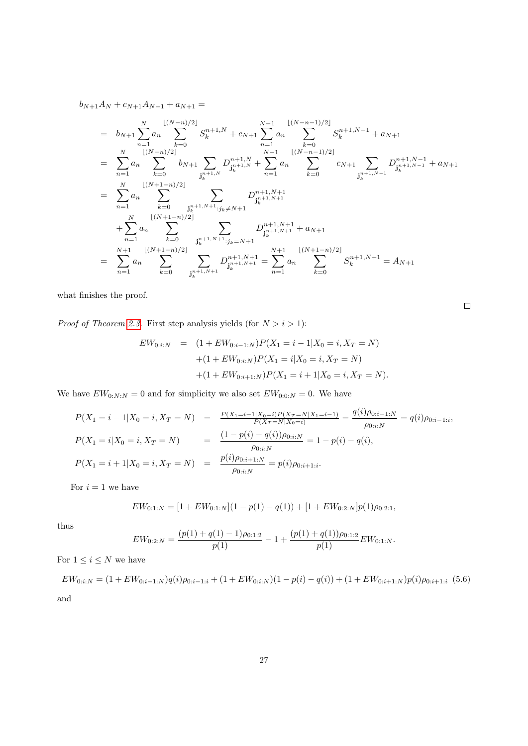$b_{N+1}A_N + c_{N+1}A_{N-1} + a_{N+1} =$ 

$$
= b_{N+1} \sum_{n=1}^{N} a_n \sum_{k=0}^{\lfloor (N-n)/2 \rfloor} S_k^{n+1,N} + c_{N+1} \sum_{n=1}^{N-1} a_n \sum_{k=0}^{\lfloor (N-n-1)/2 \rfloor} S_k^{n+1,N-1} + a_{N+1}
$$
  
\n
$$
= \sum_{n=1}^{N} a_n \sum_{k=0}^{\lfloor (N-n)/2 \rfloor} b_{N+1} \sum_{j_k^{n+1}, N} D_{j_k^{n+1}, N}^{n+1,N} + \sum_{n=1}^{N-1} a_n \sum_{k=0}^{\lfloor (N-n-1)/2 \rfloor} c_{N+1} \sum_{j_k^{n+1}, N-1} D_{j_k^{n+1}, N-1}^{n+1,N-1} + a_{N+1}
$$
  
\n
$$
= \sum_{n=1}^{N} a_n \sum_{k=0}^{\lfloor (N+1-n)/2 \rfloor} \sum_{j_k^{n+1}, N+1 \le j_k \ne N+1} D_{j_k^{n+1}, N+1}^{n+1,N+1} + a_{N+1}
$$
  
\n
$$
+ \sum_{n=1}^{N} a_n \sum_{k=0}^{\lfloor (N+1-n)/2 \rfloor} \sum_{j_k^{n+1}, N+1 \le j_k = N+1} D_{j_k^{n+1}, N+1}^{n+1,N+1} + a_{N+1}
$$
  
\n
$$
= \sum_{n=1}^{N+1} a_n \sum_{k=0}^{\lfloor (N+1-n)/2 \rfloor} \sum_{j_k^{n+1}, N+1} D_{j_k^{n+1}, N+1}^{n+1,N+1} = \sum_{n=1}^{N+1} a_n \sum_{k=0}^{\lfloor (N+1-n)/2 \rfloor} S_k^{n+1,N+1} = A_{N+1}
$$

what finishes the proof.

*Proof of Theorem [2.3.](#page-3-1)* First step analysis yields (for  $N > i > 1$ ):

$$
EW_{0:i:N} = (1 + EW_{0:i-1:N})P(X_1 = i - 1|X_0 = i, X_T = N)
$$

$$
+ (1 + EW_{0:i:N})P(X_1 = i|X_0 = i, X_T = N)
$$

$$
+ (1 + EW_{0:i+1:N})P(X_1 = i + 1|X_0 = i, X_T = N).
$$

We have  $EW_{0:N:N} = 0$  and for simplicity we also set  $EW_{0:0:N} = 0$ . We have

$$
P(X_1 = i - 1 | X_0 = i, X_T = N) = \frac{P(X_1 = i - 1 | X_0 = i) P(X_T = N | X_1 = i - 1)}{P(X_T = N | X_0 = i)} = \frac{q(i) \rho_{0:i-1:N}}{\rho_{0:i:N}} = q(i) \rho_{0:i-1:i},
$$
  
\n
$$
P(X_1 = i | X_0 = i, X_T = N) = \frac{(1 - p(i) - q(i)) \rho_{0:i:N}}{\rho_{0:i:N}} = 1 - p(i) - q(i),
$$
  
\n
$$
P(X_1 = i + 1 | X_0 = i, X_T = N) = \frac{p(i) \rho_{0:i+1:N}}{\rho_{0:i:N}} = p(i) \rho_{0:i+1:i}.
$$

For  $i = 1$  we have

$$
EW_{0:1:N} = [1 + EW_{0:1:N}](1 - p(1) - q(1)) + [1 + EW_{0:2:N}]p(1)\rho_{0:2:1},
$$

thus

<span id="page-26-0"></span>
$$
EW_{0:2:N} = \frac{(p(1) + q(1) - 1)\rho_{0:1:2}}{p(1)} - 1 + \frac{(p(1) + q(1))\rho_{0:1:2}}{p(1)} EW_{0:1:N}.
$$

For  $1\leq i\leq N$  we have

 $EW_{0:i:N} = (1 + EW_{0:i-1:N})q(i)\rho_{0:i-1:i} + (1 + EW_{0:i:N})(1 - p(i) - q(i)) + (1 + EW_{0:i+1:N})p(i)\rho_{0:i+1:i}$  (5.6) and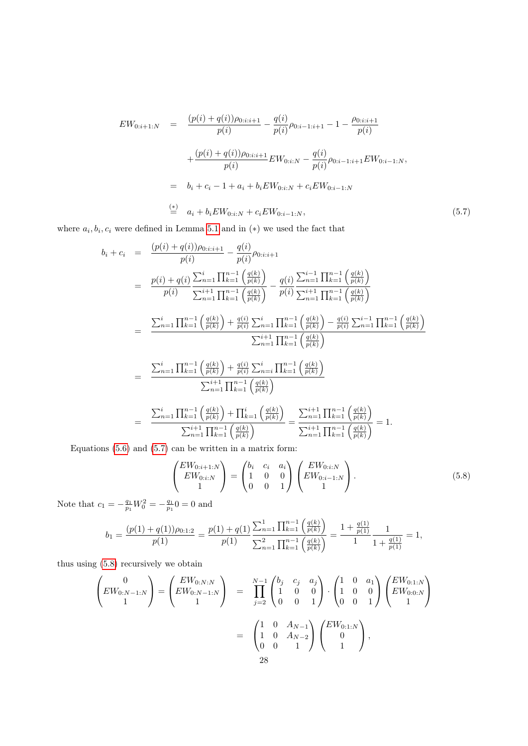<span id="page-27-0"></span>
$$
EW_{0:i+1:N} = \frac{(p(i) + q(i))\rho_{0:i:i+1}}{p(i)} - \frac{q(i)}{p(i)}\rho_{0:i-1:i+1} - 1 - \frac{\rho_{0:i:i+1}}{p(i)}
$$

$$
+ \frac{(p(i) + q(i))\rho_{0:i:i+1}}{p(i)} EW_{0:i:N} - \frac{q(i)}{p(i)}\rho_{0:i-1:i+1} EW_{0:i-1:N},
$$

$$
= b_i + c_i - 1 + a_i + b_i EW_{0:i:N} + c_i EW_{0:i-1:N}
$$

$$
\stackrel{\text{(*)}}{=} a_i + b_i EW_{0:i:N} + c_i EW_{0:i-1:N}, \tag{5.7}
$$

where  $a_i, b_i, c_i$  were defined in Lemma [5.1](#page-24-0) and in (\*) we used the fact that

$$
b_{i} + c_{i} = \frac{(p(i) + q(i))\rho_{0:i:i+1}}{p(i)} - \frac{q(i)}{p(i)\rho_{0:i:i+1}}
$$
\n
$$
= \frac{p(i) + q(i)}{p(i)} \frac{\sum_{n=1}^{i} \prod_{k=1}^{n-1} \left(\frac{q(k)}{p(k)}\right)}{\sum_{n=1}^{i+1} \prod_{k=1}^{n-1} \left(\frac{q(k)}{p(k)}\right)} - \frac{q(i)}{p(i)} \frac{\sum_{n=1}^{i-1} \prod_{k=1}^{n-1} \left(\frac{q(k)}{p(k)}\right)}{\sum_{n=1}^{i+1} \prod_{k=1}^{n-1} \left(\frac{q(k)}{p(k)}\right)}
$$
\n
$$
= \frac{\sum_{n=1}^{i} \prod_{k=1}^{n-1} \left(\frac{q(k)}{p(k)}\right) + \frac{q(i)}{p(i)} \sum_{n=1}^{i} \prod_{k=1}^{n-1} \left(\frac{q(k)}{p(k)}\right) - \frac{q(i)}{p(i)} \sum_{n=1}^{i-1} \prod_{k=1}^{n-1} \left(\frac{q(k)}{p(k)}\right)}{\sum_{n=1}^{i+1} \prod_{k=1}^{n-1} \left(\frac{q(k)}{p(k)}\right)}
$$
\n
$$
= \frac{\sum_{n=1}^{i} \prod_{k=1}^{n-1} \left(\frac{q(k)}{p(k)}\right) + \frac{q(i)}{p(i)} \sum_{n=i}^{i} \prod_{k=1}^{n-1} \left(\frac{q(k)}{p(k)}\right)}{\sum_{n=1}^{i+1} \prod_{k=1}^{n-1} \left(\frac{q(k)}{p(k)}\right)}
$$
\n
$$
= \frac{\sum_{n=1}^{i} \prod_{k=1}^{n-1} \left(\frac{q(k)}{p(k)}\right) + \prod_{k=1}^{i} \left(\frac{q(k)}{p(k)}\right)}{\sum_{n=1}^{i+1} \prod_{k=1}^{n-1} \left(\frac{q(k)}{p(k)}\right)}
$$
\n
$$
= \frac{\sum_{n=1}^{i+1} \prod_{k=1}^{n-1} \left(\frac{q(k)}{p(k)}\right)}{\sum_{n=1}^{i+1} \prod_{k=1}^{n-1} \left(\frac
$$

Equations  $(5.6)$  and  $(5.7)$  can be written in a matrix form:

<span id="page-27-1"></span>
$$
\begin{pmatrix} EW_{0:i+1:N} \\ EW_{0:i:N} \\ 1 \end{pmatrix} = \begin{pmatrix} b_i & c_i & a_i \\ 1 & 0 & 0 \\ 0 & 0 & 1 \end{pmatrix} \begin{pmatrix} EW_{0:i:N} \\ EW_{0:i-1:N} \\ 1 \end{pmatrix}.
$$
 (5.8)

Note that  $c_1 = -\frac{q_1}{p_1}W_0^2 = -\frac{q_1}{p_1}0 = 0$  and

$$
b_1 = \frac{(p(1) + q(1))\rho_{0:1:2}}{p(1)} = \frac{p(1) + q(1)}{p(1)} \frac{\sum_{n=1}^1 \prod_{k=1}^{n-1} \left(\frac{q(k)}{p(k)}\right)}{\sum_{n=1}^2 \prod_{k=1}^{n-1} \left(\frac{q(k)}{p(k)}\right)} = \frac{1 + \frac{q(1)}{p(1)}}{1 + \frac{q(1)}{p(1)}} = 1,
$$

thus using [\(5.8\)](#page-27-1) recursively we obtain

$$
\begin{pmatrix}\n0 \\
EW_{0:N-1:N} \\
1\n\end{pmatrix} = \begin{pmatrix}\nEW_{0:N:N} \\
EW_{0:N-1:N} \\
1\n\end{pmatrix} = \prod_{j=2}^{N-1} \begin{pmatrix}\nb_j & c_j & a_j \\
1 & 0 & 0 \\
0 & 0 & 1\n\end{pmatrix} \cdot \begin{pmatrix}\n1 & 0 & a_1 \\
1 & 0 & 0 \\
0 & 0 & 1\n\end{pmatrix} \begin{pmatrix}\nEW_{0:1:N} \\
EW_{0:0:N}\n\end{pmatrix}
$$
\n
$$
= \begin{pmatrix}\n1 & 0 & A_{N-1} \\
1 & 0 & A_{N-2} \\
0 & 0 & 1\n\end{pmatrix} \begin{pmatrix}\nEW_{0:1:N} \\
0 \\
1\n\end{pmatrix},
$$
\n28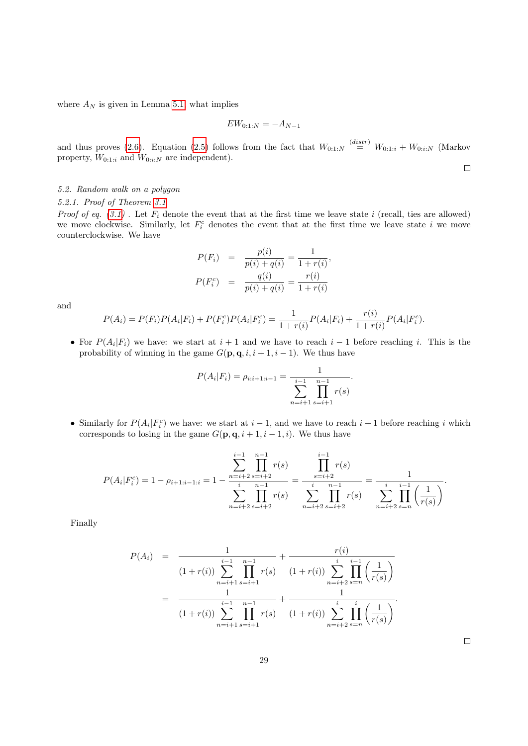where  $A_N$  is given in Lemma [5.1,](#page-24-0) what implies

$$
EW_{0:1:N} = -A_{N-1}
$$

and thus proves [\(2.6\)](#page-3-3). Equation [\(2.5\)](#page-3-3) follows from the fact that  $W_{0:1:N} \stackrel{(distr)}{=} W_{0:1:i} + W_{0:i:N}$  (Markov property,  $W_{0:1:i}$  and  $W_{0:i:N}$  are independent).

 $\Box$ 

# 5.2. Random walk on a polygon

<span id="page-28-0"></span>5.2.1. Proof of Theorem [3.1](#page-12-0)

Proof of eq.  $(3.1)$ . Let  $F_i$  denote the event that at the first time we leave state i (recall, ties are allowed) we move clockwise. Similarly, let  $F_i^c$  denotes the event that at the first time we leave state i we move counterclockwise. We have

$$
P(F_i) = \frac{p(i)}{p(i) + q(i)} = \frac{1}{1 + r(i)},
$$
  

$$
P(F_i^c) = \frac{q(i)}{p(i) + q(i)} = \frac{r(i)}{1 + r(i)}
$$

and

$$
P(A_i) = P(F_i)P(A_i|F_i) + P(F_i^c)P(A_i|F_i^c) = \frac{1}{1+r(i)}P(A_i|F_i) + \frac{r(i)}{1+r(i)}P(A_i|F_i^c).
$$

• For  $P(A_i|F_i)$  we have: we start at  $i+1$  and we have to reach  $i-1$  before reaching i. This is the probability of winning in the game  $G(\mathbf{p}, \mathbf{q}, i, i+1, i-1)$ . We thus have

$$
P(A_i|F_i) = \rho_{i:i+1:i-1} = \frac{1}{\sum_{n=i+1}^{i-1} \prod_{s=i+1}^{n-1} r(s)}.
$$

• Similarly for  $P(A_i|F_i^c)$  we have: we start at  $i-1$ , and we have to reach  $i+1$  before reaching i which corresponds to losing in the game  $G(\mathbf{p}, \mathbf{q}, i+1, i-1, i)$ . We thus have

$$
P(A_i|F_i^c) = 1 - \rho_{i+1:i-1:i} = 1 - \frac{\sum_{n=i+2}^{i-1} \prod_{s=i+2}^{n-1} r(s)}{\sum_{n=i+2}^{i} \prod_{s=i+2}^{n-1} r(s)} = \frac{\prod_{s=i+2}^{i-1} r(s)}{\sum_{n=i+2}^{i} \prod_{s=i+2}^{n-1} r(s)} = \frac{1}{\sum_{n=i+2}^{i} \prod_{s=n}^{i-1} \left(\frac{1}{r(s)}\right)}.
$$

Finally

$$
P(A_i) = \frac{1}{(1+r(i)) \sum_{n=i+1}^{i-1} \prod_{s=i+1}^{n-1} r(s)} + \frac{r(i)}{(1+r(i)) \sum_{n=i+2}^{i} \prod_{s=n}^{i-1} \left(\frac{1}{r(s)}\right)}
$$
  
= 
$$
\frac{1}{(1+r(i)) \sum_{n=i+1}^{i-1} \prod_{s=i+1}^{n-1} r(s)} + \frac{1}{(1+r(i)) \sum_{n=i+2}^{i} \prod_{s=n}^{i} \left(\frac{1}{r(s)}\right)}.
$$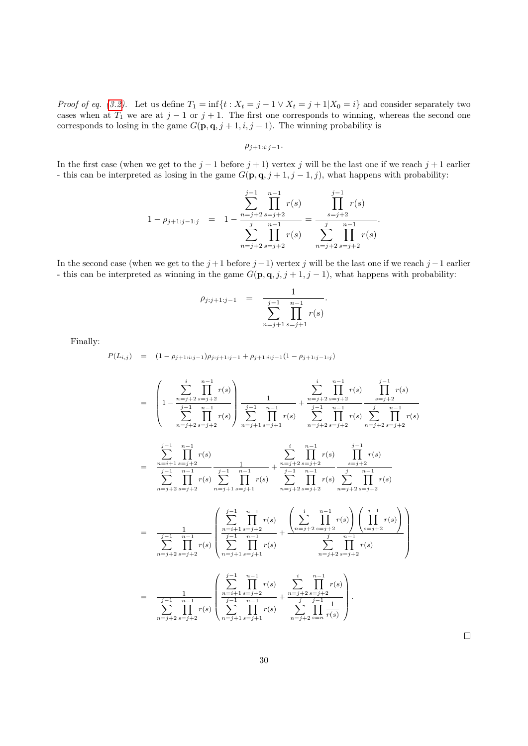*Proof of eq.* [\(3.2\)](#page-12-1). Let us define  $T_1 = \inf\{t : X_t = j - 1 \vee X_t = j + 1 | X_0 = i\}$  and consider separately two cases when at  $T_1$  we are at  $j-1$  or  $j+1$ . The first one corresponds to winning, whereas the second one corresponds to losing in the game  $G(\mathbf{p}, \mathbf{q}, j + 1, i, j - 1)$ . The winning probability is

$$
\rho_{j+1:i:j-1}.
$$

In the first case (when we get to the  $j - 1$  before  $j + 1$ ) vertex j will be the last one if we reach  $j + 1$  earlier - this can be interpreted as losing in the game  $G(\mathbf{p}, \mathbf{q}, j + 1, j - 1, j)$ , what happens with probability:

$$
1 - \rho_{j+1:j-1:j} = 1 - \frac{\sum_{n=j+2}^{j-1} \prod_{s=j+2}^{n-1} r(s)}{\sum_{n=j+2}^{j} \prod_{s=j+2}^{n-1} r(s)} = \frac{\prod_{s=j+2}^{j-1} r(s)}{\sum_{n=j+2}^{j} \prod_{s=j+2}^{n-1} r(s)}.
$$

In the second case (when we get to the  $j+1$  before  $j-1$ ) vertex j will be the last one if we reach  $j-1$  earlier - this can be interpreted as winning in the game  $G(\mathbf{p}, \mathbf{q}, j, j + 1, j - 1)$ , what happens with probability:

$$
\rho_{j:j+1:j-1} = \frac{1}{\sum_{n=j+1}^{j-1} \prod_{s=j+1}^{n-1} r(s)}.
$$

Finally:

 $P(L_{i,j}) = (1 - \rho_{j+1:i:j-1})\rho_{j:j+1:j-1} + \rho_{j+1:i:j-1}(1 - \rho_{j+1:j-1:j})$ 

$$
= \left(1 - \frac{\sum_{j=1}^{i} \sum_{s=j+2}^{n-1} r(s)}{\sum_{n=j+2}^{j-1} \sum_{s=j+2}^{n-1} r(s)}\right) \frac{1}{\sum_{n=1}^{j-1} \sum_{s=j+2}^{n-1} r(s)} + \frac{\sum_{j=1}^{i} \sum_{s=j+2}^{n-1} r(s)}{\sum_{n=j+2}^{j-1} \sum_{s=j+2}^{n-1} r(s)} \frac{\sum_{s=j+2}^{j-1} r(s)}{\sum_{n=j+2}^{j-1} \sum_{s=j+2}^{n-1} r(s)} - \frac{\sum_{s=j+2}^{i} \sum_{s=j+2}^{n-1} r(s)}{\sum_{n=j+2}^{j-1} \sum_{s=j+2}^{n-1} r(s)} - \frac{\sum_{s=j+2}^{i} \sum_{s=j+2}^{n-1} r(s)}{\sum_{n=j+2}^{j-1} \sum_{s=j+2}^{n-1} r(s)} - \frac{\sum_{s=j+2}^{i} \sum_{s=j+2}^{n-1} r(s)}{\sum_{n=j+2}^{j-1} \sum_{s=j+2}^{n-1} r(s)} - \frac{\sum_{s=j+2}^{i} \sum_{s=j+2}^{n-1} r(s)}{\sum_{s=j+2}^{j-1} \sum_{s=j+2}^{n-1} r(s)} - \frac{\sum_{s=j+2}^{i} \sum_{s=j+2}^{n-1} r(s)}{\sum_{s=j+2}^{j-1} \sum_{s=j+2}^{n-1} r(s)} - \frac{\sum_{s=j+2}^{i} \sum_{s=j+2}^{n-1} r(s)}{\sum_{s=j+2}^{j-1} \sum_{s=j+2}^{n-1} r(s)} - \frac{\sum_{s=j+2}^{i} \sum_{s=j+2}^{n-1} r(s)}{\sum_{s=j+2}^{j-1} \sum_{s=j+2}^{n-1} r(s)} - \frac{\sum_{s=j+2}^{i} \sum_{s=j+2}^{n-1} r(s)}{\sum_{s=j+2}^{j-1} \sum_{s=j+2}^{n-1} r(s)} - \frac{\sum_{s=j+2}^{i} \sum_{s=j+2}^{n-1} r(s)}{\sum_{s=j+2}^{j-1} \sum_{s=j+2}^{n-1} r(s)} - \frac{\sum_{s=j+2}^{i} \sum_{s=j+2}^{n
$$